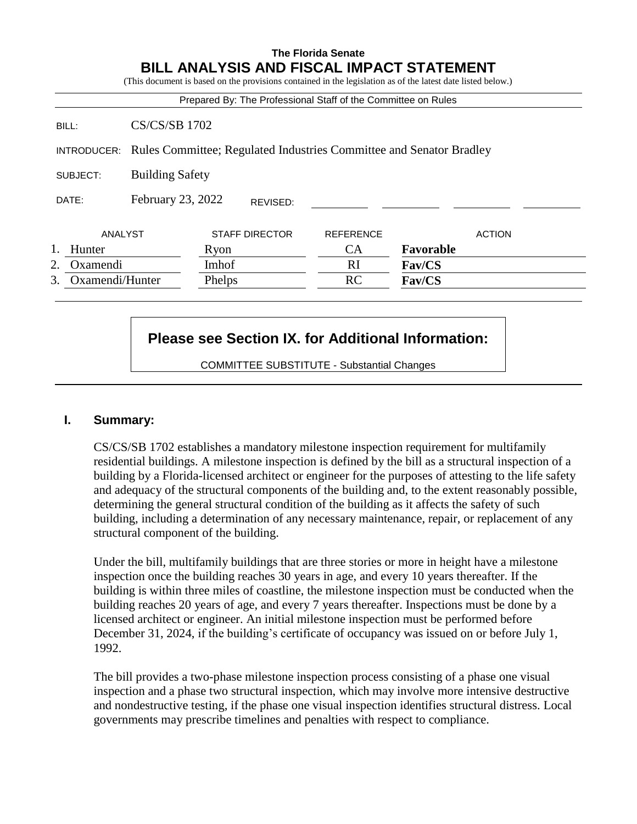## **The Florida Senate BILL ANALYSIS AND FISCAL IMPACT STATEMENT**

(This document is based on the provisions contained in the legislation as of the latest date listed below.)

|                    |                        | Prepared By: The Professional Staff of the Committee on Rules       |                  |               |  |
|--------------------|------------------------|---------------------------------------------------------------------|------------------|---------------|--|
| BILL:              | <b>CS/CS/SB 1702</b>   |                                                                     |                  |               |  |
| INTRODUCER:        |                        | Rules Committee; Regulated Industries Committee and Senator Bradley |                  |               |  |
| SUBJECT:           | <b>Building Safety</b> |                                                                     |                  |               |  |
| DATE:              | February 23, 2022      | REVISED:                                                            |                  |               |  |
| ANALYST            |                        | <b>STAFF DIRECTOR</b>                                               | <b>REFERENCE</b> | <b>ACTION</b> |  |
| Hunter             |                        | Ryon                                                                | <b>CA</b>        | Favorable     |  |
| Oxamendi<br>2.     |                        | Imhof                                                               | <sub>RI</sub>    | <b>Fav/CS</b> |  |
| 3. Oxamendi/Hunter |                        | Phelps                                                              | <b>RC</b>        | Fav/CS        |  |

## **Please see Section IX. for Additional Information:**

COMMITTEE SUBSTITUTE - Substantial Changes

#### **I. Summary:**

CS/CS/SB 1702 establishes a mandatory milestone inspection requirement for multifamily residential buildings. A milestone inspection is defined by the bill as a structural inspection of a building by a Florida-licensed architect or engineer for the purposes of attesting to the life safety and adequacy of the structural components of the building and, to the extent reasonably possible, determining the general structural condition of the building as it affects the safety of such building, including a determination of any necessary maintenance, repair, or replacement of any structural component of the building.

Under the bill, multifamily buildings that are three stories or more in height have a milestone inspection once the building reaches 30 years in age, and every 10 years thereafter. If the building is within three miles of coastline, the milestone inspection must be conducted when the building reaches 20 years of age, and every 7 years thereafter. Inspections must be done by a licensed architect or engineer. An initial milestone inspection must be performed before December 31, 2024, if the building's certificate of occupancy was issued on or before July 1, 1992.

The bill provides a two-phase milestone inspection process consisting of a phase one visual inspection and a phase two structural inspection, which may involve more intensive destructive and nondestructive testing, if the phase one visual inspection identifies structural distress. Local governments may prescribe timelines and penalties with respect to compliance.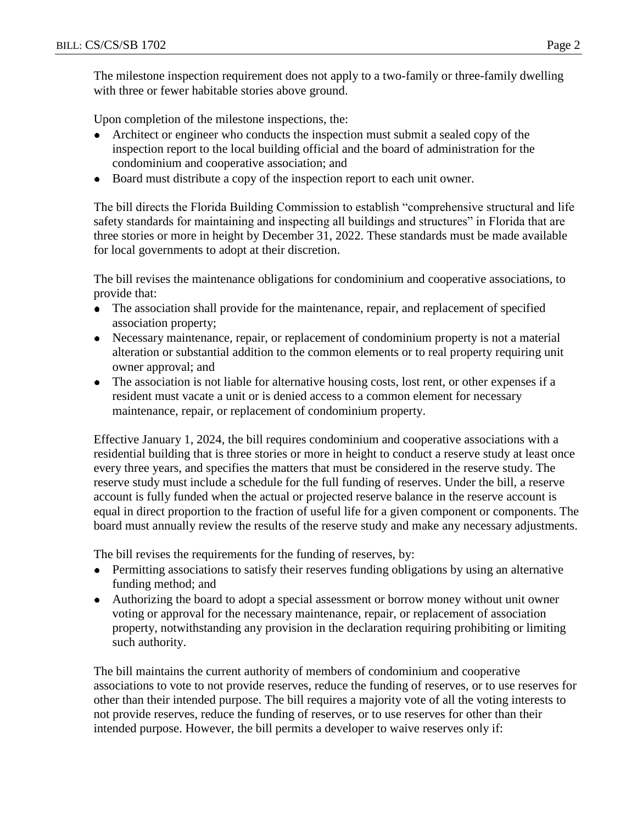The milestone inspection requirement does not apply to a two-family or three-family dwelling with three or fewer habitable stories above ground.

Upon completion of the milestone inspections, the:

- Architect or engineer who conducts the inspection must submit a sealed copy of the inspection report to the local building official and the board of administration for the condominium and cooperative association; and
- Board must distribute a copy of the inspection report to each unit owner.

The bill directs the Florida Building Commission to establish "comprehensive structural and life safety standards for maintaining and inspecting all buildings and structures" in Florida that are three stories or more in height by December 31, 2022. These standards must be made available for local governments to adopt at their discretion.

The bill revises the maintenance obligations for condominium and cooperative associations, to provide that:

- The association shall provide for the maintenance, repair, and replacement of specified association property;
- Necessary maintenance, repair, or replacement of condominium property is not a material  $\bullet$ alteration or substantial addition to the common elements or to real property requiring unit owner approval; and
- The association is not liable for alternative housing costs, lost rent, or other expenses if a resident must vacate a unit or is denied access to a common element for necessary maintenance, repair, or replacement of condominium property.

Effective January 1, 2024, the bill requires condominium and cooperative associations with a residential building that is three stories or more in height to conduct a reserve study at least once every three years, and specifies the matters that must be considered in the reserve study. The reserve study must include a schedule for the full funding of reserves. Under the bill, a reserve account is fully funded when the actual or projected reserve balance in the reserve account is equal in direct proportion to the fraction of useful life for a given component or components. The board must annually review the results of the reserve study and make any necessary adjustments.

The bill revises the requirements for the funding of reserves, by:

- Permitting associations to satisfy their reserves funding obligations by using an alternative  $\bullet$ funding method; and
- Authorizing the board to adopt a special assessment or borrow money without unit owner voting or approval for the necessary maintenance, repair, or replacement of association property, notwithstanding any provision in the declaration requiring prohibiting or limiting such authority.

The bill maintains the current authority of members of condominium and cooperative associations to vote to not provide reserves, reduce the funding of reserves, or to use reserves for other than their intended purpose. The bill requires a majority vote of all the voting interests to not provide reserves, reduce the funding of reserves, or to use reserves for other than their intended purpose. However, the bill permits a developer to waive reserves only if: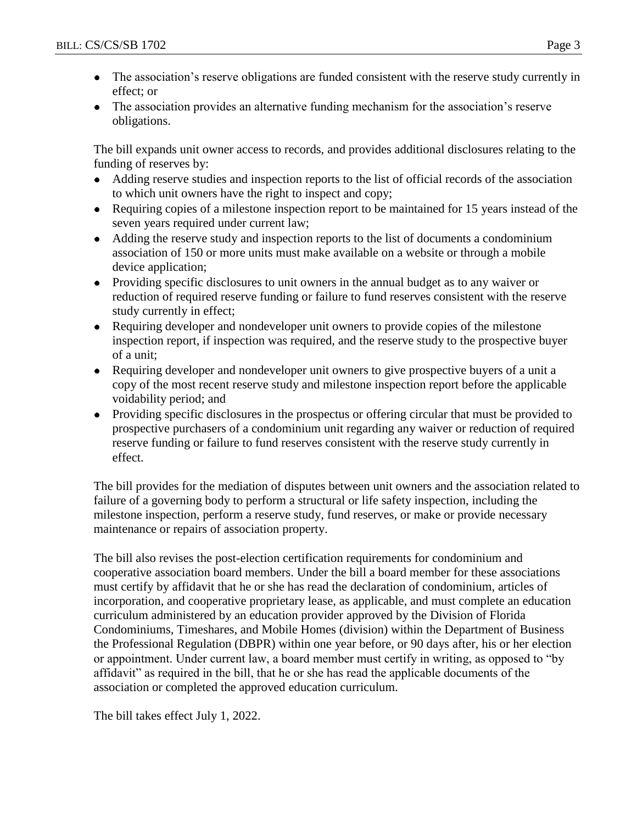- The association's reserve obligations are funded consistent with the reserve study currently in  $\bullet$ effect; or
- The association provides an alternative funding mechanism for the association's reserve obligations.

The bill expands unit owner access to records, and provides additional disclosures relating to the funding of reserves by:

- Adding reserve studies and inspection reports to the list of official records of the association  $\bullet$ to which unit owners have the right to inspect and copy;
- Requiring copies of a milestone inspection report to be maintained for 15 years instead of the seven years required under current law;
- Adding the reserve study and inspection reports to the list of documents a condominium association of 150 or more units must make available on a website or through a mobile device application;
- Providing specific disclosures to unit owners in the annual budget as to any waiver or reduction of required reserve funding or failure to fund reserves consistent with the reserve study currently in effect;
- Requiring developer and nondeveloper unit owners to provide copies of the milestone inspection report, if inspection was required, and the reserve study to the prospective buyer of a unit;
- Requiring developer and nondeveloper unit owners to give prospective buyers of a unit a copy of the most recent reserve study and milestone inspection report before the applicable voidability period; and
- Providing specific disclosures in the prospectus or offering circular that must be provided to prospective purchasers of a condominium unit regarding any waiver or reduction of required reserve funding or failure to fund reserves consistent with the reserve study currently in effect.

The bill provides for the mediation of disputes between unit owners and the association related to failure of a governing body to perform a structural or life safety inspection, including the milestone inspection, perform a reserve study, fund reserves, or make or provide necessary maintenance or repairs of association property.

The bill also revises the post-election certification requirements for condominium and cooperative association board members. Under the bill a board member for these associations must certify by affidavit that he or she has read the declaration of condominium, articles of incorporation, and cooperative proprietary lease, as applicable, and must complete an education curriculum administered by an education provider approved by the Division of Florida Condominiums, Timeshares, and Mobile Homes (division) within the Department of Business the Professional Regulation (DBPR) within one year before, or 90 days after, his or her election or appointment. Under current law, a board member must certify in writing, as opposed to "by affidavit" as required in the bill, that he or she has read the applicable documents of the association or completed the approved education curriculum.

The bill takes effect July 1, 2022.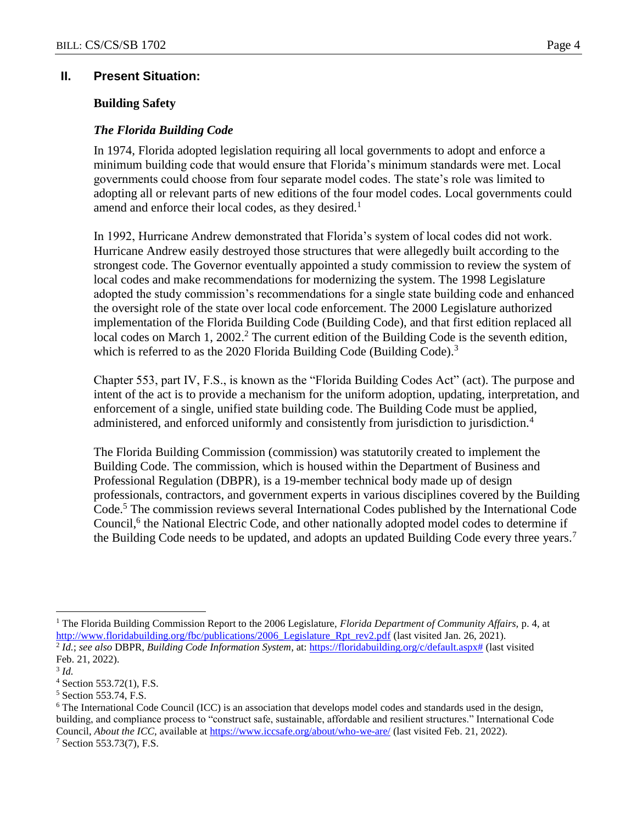#### **II. Present Situation:**

#### **Building Safety**

#### *The Florida Building Code*

In 1974, Florida adopted legislation requiring all local governments to adopt and enforce a minimum building code that would ensure that Florida's minimum standards were met. Local governments could choose from four separate model codes. The state's role was limited to adopting all or relevant parts of new editions of the four model codes. Local governments could amend and enforce their local codes, as they desired.<sup>1</sup>

In 1992, Hurricane Andrew demonstrated that Florida's system of local codes did not work. Hurricane Andrew easily destroyed those structures that were allegedly built according to the strongest code. The Governor eventually appointed a study commission to review the system of local codes and make recommendations for modernizing the system. The 1998 Legislature adopted the study commission's recommendations for a single state building code and enhanced the oversight role of the state over local code enforcement. The 2000 Legislature authorized implementation of the Florida Building Code (Building Code), and that first edition replaced all local codes on March 1, 2002.<sup>2</sup> The current edition of the Building Code is the seventh edition, which is referred to as the 2020 Florida Building Code (Building Code).<sup>3</sup>

Chapter 553, part IV, F.S., is known as the "Florida Building Codes Act" (act). The purpose and intent of the act is to provide a mechanism for the uniform adoption, updating, interpretation, and enforcement of a single, unified state building code. The Building Code must be applied, administered, and enforced uniformly and consistently from jurisdiction to jurisdiction.<sup>4</sup>

The Florida Building Commission (commission) was statutorily created to implement the Building Code. The commission, which is housed within the Department of Business and Professional Regulation (DBPR), is a 19-member technical body made up of design professionals, contractors, and government experts in various disciplines covered by the Building Code.<sup>5</sup> The commission reviews several International Codes published by the International Code Council,<sup>6</sup> the National Electric Code, and other nationally adopted model codes to determine if the Building Code needs to be updated, and adopts an updated Building Code every three years.<sup>7</sup>

<sup>1</sup> The Florida Building Commission Report to the 2006 Legislature, *Florida Department of Community Affairs,* p. 4, at [http://www.floridabuilding.org/fbc/publications/2006\\_Legislature\\_Rpt\\_rev2.pdf](http://www.floridabuilding.org/fbc/publications/2006_Legislature_Rpt_rev2.pdf) (last visited Jan. 26, 2021).

<sup>2</sup> *Id.*; *see also* DBPR, *Building Code Information System*, at: [https://floridabuilding.org/c/default.aspx#](https://floridabuilding.org/c/default.aspx) (last visited Feb. 21, 2022).

<sup>3</sup> *Id.*

 $4$  Section 553.72(1), F.S.

<sup>5</sup> Section 553.74, F.S.

<sup>6</sup> The International Code Council (ICC) is an association that develops model codes and standards used in the design, building, and compliance process to "construct safe, sustainable, affordable and resilient structures." International Code Council, *About the ICC*, available at <https://www.iccsafe.org/about/who-we-are/> (last visited Feb. 21, 2022).

<sup>7</sup> Section 553.73(7), F.S.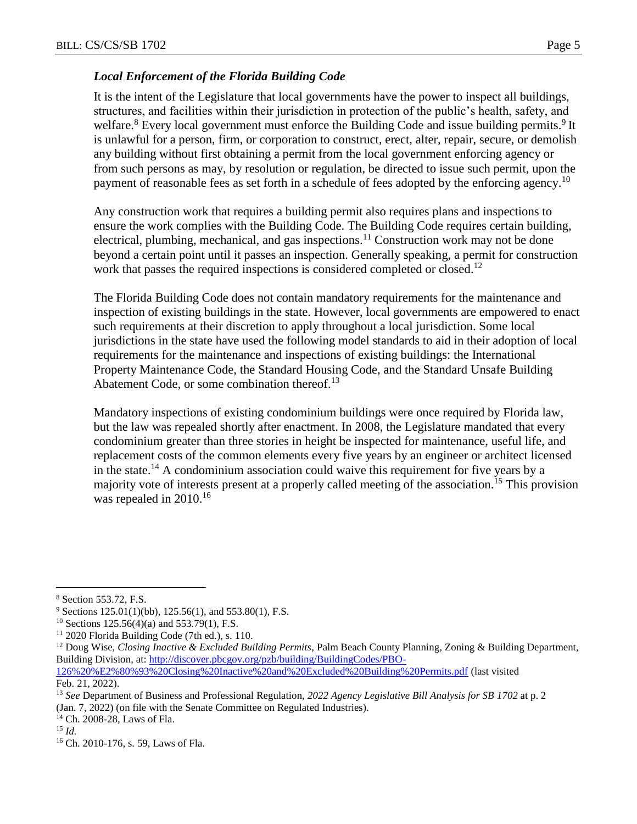## *Local Enforcement of the Florida Building Code*

It is the intent of the Legislature that local governments have the power to inspect all buildings, structures, and facilities within their jurisdiction in protection of the public's health, safety, and welfare.<sup>8</sup> Every local government must enforce the Building Code and issue building permits.<sup>9</sup> It is unlawful for a person, firm, or corporation to construct, erect, alter, repair, secure, or demolish any building without first obtaining a permit from the local government enforcing agency or from such persons as may, by resolution or regulation, be directed to issue such permit, upon the payment of reasonable fees as set forth in a schedule of fees adopted by the enforcing agency.<sup>10</sup>

Any construction work that requires a building permit also requires plans and inspections to ensure the work complies with the Building Code. The Building Code requires certain building, electrical, plumbing, mechanical, and gas inspections.<sup>11</sup> Construction work may not be done beyond a certain point until it passes an inspection. Generally speaking, a permit for construction work that passes the required inspections is considered completed or closed.<sup>12</sup>

The Florida Building Code does not contain mandatory requirements for the maintenance and inspection of existing buildings in the state. However, local governments are empowered to enact such requirements at their discretion to apply throughout a local jurisdiction. Some local jurisdictions in the state have used the following model standards to aid in their adoption of local requirements for the maintenance and inspections of existing buildings: the International Property Maintenance Code, the Standard Housing Code, and the Standard Unsafe Building Abatement Code, or some combination thereof.<sup>13</sup>

Mandatory inspections of existing condominium buildings were once required by Florida law, but the law was repealed shortly after enactment. In 2008, the Legislature mandated that every condominium greater than three stories in height be inspected for maintenance, useful life, and replacement costs of the common elements every five years by an engineer or architect licensed in the state.<sup>14</sup> A condominium association could waive this requirement for five years by a majority vote of interests present at a properly called meeting of the association.<sup>15</sup> This provision was repealed in 2010.<sup>16</sup>

<sup>8</sup> Section 553.72, F.S.

 $9$  Sections 125.01(1)(bb), 125.56(1), and 553.80(1), F.S.

<sup>&</sup>lt;sup>10</sup> Sections 125.56(4)(a) and 553.79(1), F.S.

<sup>&</sup>lt;sup>11</sup> 2020 Florida Building Code (7th ed.), s. 110.

<sup>12</sup> Doug Wise, *Closing Inactive & Excluded Building Permits*, Palm Beach County Planning, Zoning & Building Department, Building Division, at: [http://discover.pbcgov.org/pzb/building/BuildingCodes/PBO-](http://discover.pbcgov.org/pzb/building/BuildingCodes/PBO-126%20%E2%80%93%20Closing%20Inactive%20and%20Excluded%20Building%20Permits.pdf)[126%20%E2%80%93%20Closing%20Inactive%20and%20Excluded%20Building%20Permits.pdf](http://discover.pbcgov.org/pzb/building/BuildingCodes/PBO-126%20%E2%80%93%20Closing%20Inactive%20and%20Excluded%20Building%20Permits.pdf) (last visited Feb. 21, 2022).

<sup>13</sup> *See* Department of Business and Professional Regulation, *2022 Agency Legislative Bill Analysis for SB 1702* at p. 2 (Jan. 7, 2022) (on file with the Senate Committee on Regulated Industries).

<sup>14</sup> Ch. 2008-28, Laws of Fla.

<sup>15</sup> *Id.*

<sup>16</sup> Ch. 2010-176, s. 59, Laws of Fla.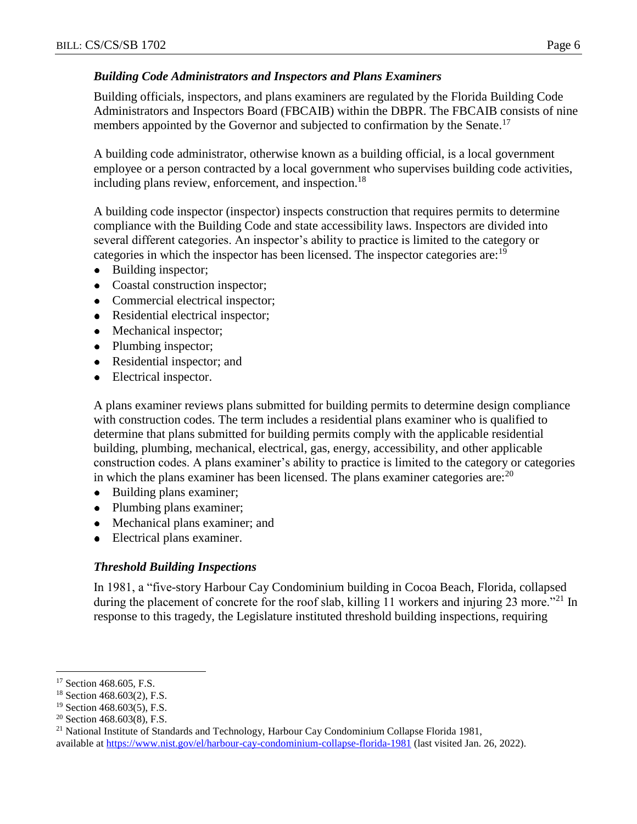## *Building Code Administrators and Inspectors and Plans Examiners*

Building officials, inspectors, and plans examiners are regulated by the Florida Building Code Administrators and Inspectors Board (FBCAIB) within the DBPR. The FBCAIB consists of nine members appointed by the Governor and subjected to confirmation by the Senate.<sup>17</sup>

A building code administrator, otherwise known as a building official, is a local government employee or a person contracted by a local government who supervises building code activities, including plans review, enforcement, and inspection.<sup>18</sup>

A building code inspector (inspector) inspects construction that requires permits to determine compliance with the Building Code and state accessibility laws. Inspectors are divided into several different categories. An inspector's ability to practice is limited to the category or categories in which the inspector has been licensed. The inspector categories are:<sup>19</sup>

- $\bullet$ Building inspector;
- $\bullet$ Coastal construction inspector;
- Commercial electrical inspector;
- Residential electrical inspector;
- Mechanical inspector;
- Plumbing inspector;
- Residential inspector; and  $\bullet$
- Electrical inspector.

A plans examiner reviews plans submitted for building permits to determine design compliance with construction codes. The term includes a residential plans examiner who is qualified to determine that plans submitted for building permits comply with the applicable residential building, plumbing, mechanical, electrical, gas, energy, accessibility, and other applicable construction codes. A plans examiner's ability to practice is limited to the category or categories in which the plans examiner has been licensed. The plans examiner categories are:  $20$ 

- $\bullet$ Building plans examiner;
- Plumbing plans examiner;
- Mechanical plans examiner; and
- Electrical plans examiner.

## *Threshold Building Inspections*

In 1981, a "five-story Harbour Cay Condominium building in Cocoa Beach, Florida, collapsed during the placement of concrete for the roof slab, killing 11 workers and injuring 23 more."<sup>21</sup> In response to this tragedy, the Legislature instituted threshold building inspections, requiring

<sup>&</sup>lt;sup>17</sup> Section 468.605, F.S.

<sup>18</sup> Section 468.603(2), F.S.

<sup>&</sup>lt;sup>19</sup> Section 468.603(5), F.S.

 $20$  Section 468.603(8), F.S.

<sup>&</sup>lt;sup>21</sup> National Institute of Standards and Technology, Harbour Cay Condominium Collapse Florida 1981, available at<https://www.nist.gov/el/harbour-cay-condominium-collapse-florida-1981> (last visited Jan. 26, 2022).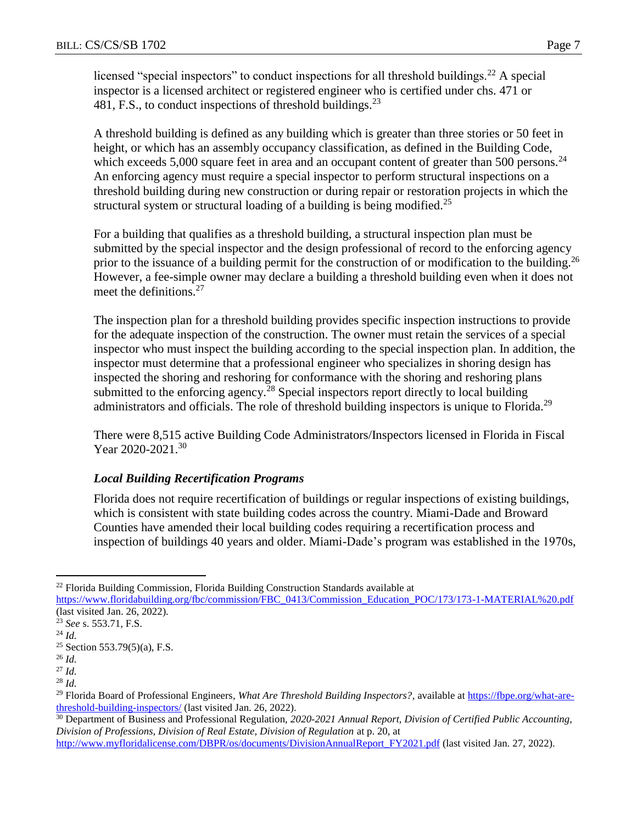licensed "special inspectors" to conduct inspections for all threshold buildings.<sup>22</sup> A special inspector is a licensed architect or registered engineer who is certified under chs. 471 or 481, F.S., to conduct inspections of threshold buildings.<sup>23</sup>

A threshold building is defined as any building which is greater than three stories or 50 feet in height, or which has an assembly occupancy classification, as defined in the Building Code, which exceeds  $5,000$  square feet in area and an occupant content of greater than  $500$  persons.<sup>24</sup> An enforcing agency must require a special inspector to perform structural inspections on a threshold building during new construction or during repair or restoration projects in which the structural system or structural loading of a building is being modified.<sup>25</sup>

For a building that qualifies as a threshold building, a structural inspection plan must be submitted by the special inspector and the design professional of record to the enforcing agency prior to the issuance of a building permit for the construction of or modification to the building.<sup>26</sup> However, a fee-simple owner may declare a building a threshold building even when it does not meet the definitions. $27$ 

The inspection plan for a threshold building provides specific inspection instructions to provide for the adequate inspection of the construction. The owner must retain the services of a special inspector who must inspect the building according to the special inspection plan. In addition, the inspector must determine that a professional engineer who specializes in shoring design has inspected the shoring and reshoring for conformance with the shoring and reshoring plans submitted to the enforcing agency.<sup>28</sup> Special inspectors report directly to local building administrators and officials. The role of threshold building inspectors is unique to Florida.<sup>29</sup>

There were 8,515 active Building Code Administrators/Inspectors licensed in Florida in Fiscal Year 2020-2021.<sup>30</sup>

## *Local Building Recertification Programs*

Florida does not require recertification of buildings or regular inspections of existing buildings, which is consistent with state building codes across the country. Miami-Dade and Broward Counties have amended their local building codes requiring a recertification process and inspection of buildings 40 years and older. Miami-Dade's program was established in the 1970s,

<sup>&</sup>lt;sup>22</sup> Florida Building Commission, Florida Building Construction Standards available at

[https://www.floridabuilding.org/fbc/commission/FBC\\_0413/Commission\\_Education\\_POC/173/173-1-MATERIAL%20.pdf](https://www.floridabuilding.org/fbc/commission/FBC_0413/Commission_Education_POC/173/173-1-MATERIAL%20.pdf) (last visited Jan. 26, 2022).

<sup>23</sup> *See* s. 553.71, F.S.

<sup>24</sup> *Id.*

<sup>25</sup> Section 553.79(5)(a), F.S.

<sup>26</sup> *Id.*

<sup>27</sup> *Id.*

<sup>28</sup> *Id.*

<sup>&</sup>lt;sup>29</sup> Florida Board of Professional Engineers, *What Are Threshold Building Inspectors?*, available a[t https://fbpe.org/what-are](https://fbpe.org/what-are-threshold-building-inspectors/)[threshold-building-inspectors/](https://fbpe.org/what-are-threshold-building-inspectors/) (last visited Jan. 26, 2022).

<sup>30</sup> Department of Business and Professional Regulation, *2020-2021 Annual Report, Division of Certified Public Accounting, Division of Professions, Division of Real Estate, Division of Regulation* at p. 20, at

[http://www.myfloridalicense.com/DBPR/os/documents/DivisionAnnualReport\\_FY2021.pdf](http://www.myfloridalicense.com/DBPR/os/documents/DivisionAnnualReport_FY2021.pdf) (last visited Jan. 27, 2022).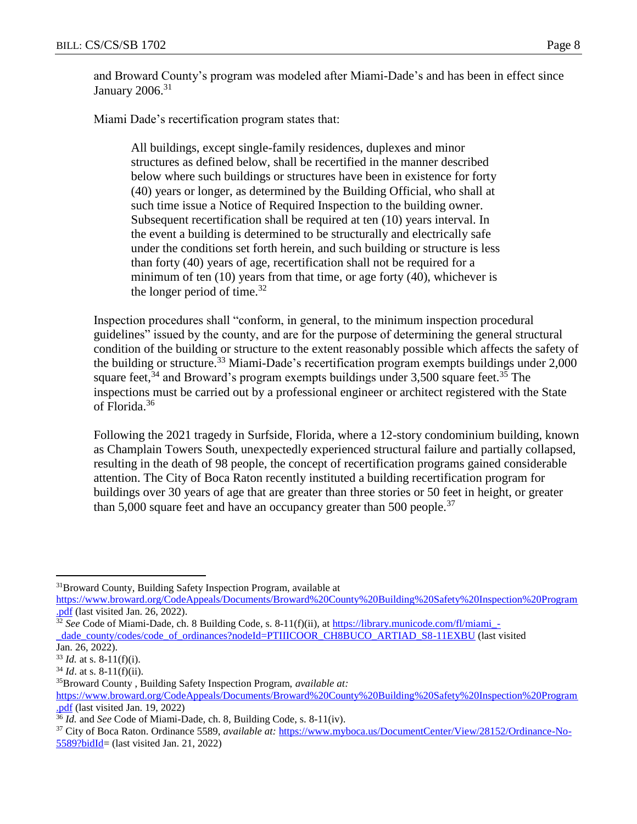and Broward County's program was modeled after Miami-Dade's and has been in effect since January  $2006.<sup>31</sup>$ 

Miami Dade's recertification program states that:

All buildings, except single-family residences, duplexes and minor structures as defined below, shall be recertified in the manner described below where such buildings or structures have been in existence for forty (40) years or longer, as determined by the Building Official, who shall at such time issue a Notice of Required Inspection to the building owner. Subsequent recertification shall be required at ten (10) years interval. In the event a building is determined to be structurally and electrically safe under the conditions set forth herein, and such building or structure is less than forty (40) years of age, recertification shall not be required for a minimum of ten (10) years from that time, or age forty (40), whichever is the longer period of time.<sup>32</sup>

Inspection procedures shall "conform, in general, to the minimum inspection procedural guidelines" issued by the county, and are for the purpose of determining the general structural condition of the building or structure to the extent reasonably possible which affects the safety of the building or structure.<sup>33</sup> Miami-Dade's recertification program exempts buildings under 2,000 square feet,  $34$  and Broward's program exempts buildings under 3,500 square feet.  $35$  The inspections must be carried out by a professional engineer or architect registered with the State of Florida.<sup>36</sup>

Following the 2021 tragedy in Surfside, Florida, where a 12-story condominium building, known as Champlain Towers South, unexpectedly experienced structural failure and partially collapsed, resulting in the death of 98 people, the concept of recertification programs gained considerable attention. The City of Boca Raton recently instituted a building recertification program for buildings over 30 years of age that are greater than three stories or 50 feet in height, or greater than 5,000 square feet and have an occupancy greater than 500 people.<sup>37</sup>

<sup>31</sup>Broward County, Building Safety Inspection Program, available at

[https://www.broward.org/CodeAppeals/Documents/Broward%20County%20Building%20Safety%20Inspection%20Program](https://www.broward.org/CodeAppeals/Documents/Broward%20County%20Building%20Safety%20Inspection%20Program.pdf) [.pdf](https://www.broward.org/CodeAppeals/Documents/Broward%20County%20Building%20Safety%20Inspection%20Program.pdf) (last visited Jan. 26, 2022).

<sup>&</sup>lt;sup>32</sup> See Code of Miami-Dade, ch. 8 Building Code, s. 8-11(f)(ii), a[t https://library.municode.com/fl/miami\\_-](https://library.municode.com/fl/miami_-_dade_county/codes/code_of_ordinances?nodeId=PTIIICOOR_CH8BUCO_ARTIAD_S8-11EXBU) [\\_dade\\_county/codes/code\\_of\\_ordinances?nodeId=PTIIICOOR\\_CH8BUCO\\_ARTIAD\\_S8-11EXBU](https://library.municode.com/fl/miami_-_dade_county/codes/code_of_ordinances?nodeId=PTIIICOOR_CH8BUCO_ARTIAD_S8-11EXBU) (last visited Jan. 26, 2022).

 $33$  *Id.* at s. 8-11(f)(i).

 $34$  *Id.* at s. 8-11(f)(ii).

<sup>35</sup>Broward County , Building Safety Inspection Program, *available at:* [https://www.broward.org/CodeAppeals/Documents/Broward%20County%20Building%20Safety%20Inspection%20Program](https://www.broward.org/CodeAppeals/Documents/Broward%20County%20Building%20Safety%20Inspection%20Program.pdf) [.pdf](https://www.broward.org/CodeAppeals/Documents/Broward%20County%20Building%20Safety%20Inspection%20Program.pdf) (last visited Jan. 19, 2022)

<sup>36</sup> *Id.* and *See* Code of Miami-Dade, ch. 8, Building Code, s. 8-11(iv).

<sup>37</sup> City of Boca Raton. Ordinance 5589, *available at:* [https://www.myboca.us/DocumentCenter/View/28152/Ordinance-No-](https://www.myboca.us/DocumentCenter/View/28152/Ordinance-No-5589?bidId)[5589?bidId=](https://www.myboca.us/DocumentCenter/View/28152/Ordinance-No-5589?bidId) (last visited Jan. 21, 2022)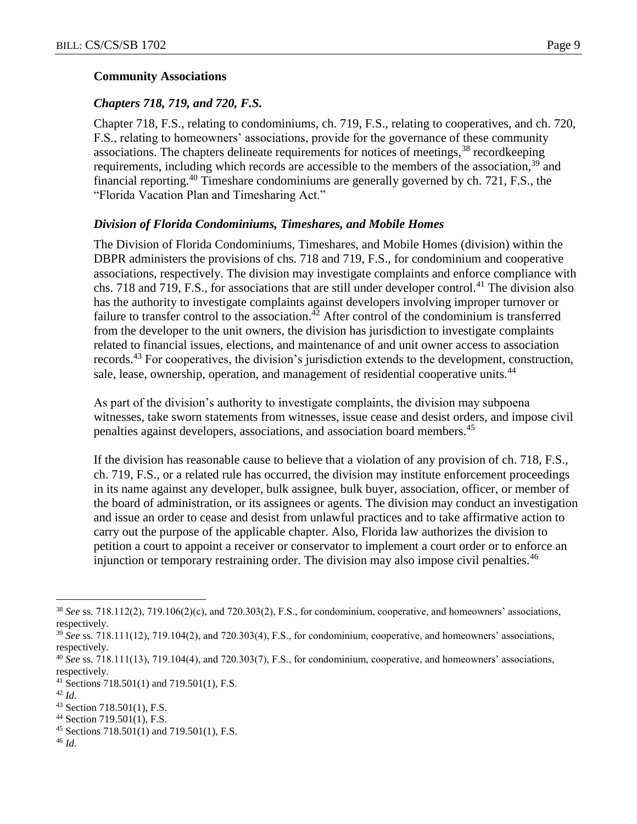#### **Community Associations**

#### *Chapters 718, 719, and 720, F.S.*

Chapter 718, F.S., relating to condominiums, ch. 719, F.S., relating to cooperatives, and ch. 720, F.S., relating to homeowners' associations, provide for the governance of these community associations. The chapters delineate requirements for notices of meetings,<sup>38</sup> recordkeeping requirements, including which records are accessible to the members of the association,<sup>39</sup> and financial reporting.<sup>40</sup> Timeshare condominiums are generally governed by ch. 721, F.S., the "Florida Vacation Plan and Timesharing Act."

#### *Division of Florida Condominiums, Timeshares, and Mobile Homes*

The Division of Florida Condominiums, Timeshares, and Mobile Homes (division) within the DBPR administers the provisions of chs. 718 and 719, F.S., for condominium and cooperative associations, respectively. The division may investigate complaints and enforce compliance with chs. 718 and 719, F.S., for associations that are still under developer control.<sup>41</sup> The division also has the authority to investigate complaints against developers involving improper turnover or failure to transfer control to the association.<sup> $42$ </sup> After control of the condominium is transferred from the developer to the unit owners, the division has jurisdiction to investigate complaints related to financial issues, elections, and maintenance of and unit owner access to association records.<sup>43</sup> For cooperatives, the division's jurisdiction extends to the development, construction, sale, lease, ownership, operation, and management of residential cooperative units.<sup>44</sup>

As part of the division's authority to investigate complaints, the division may subpoena witnesses, take sworn statements from witnesses, issue cease and desist orders, and impose civil penalties against developers, associations, and association board members.<sup>45</sup>

If the division has reasonable cause to believe that a violation of any provision of ch. 718, F.S., ch. 719, F.S., or a related rule has occurred, the division may institute enforcement proceedings in its name against any developer, bulk assignee, bulk buyer, association, officer, or member of the board of administration, or its assignees or agents. The division may conduct an investigation and issue an order to cease and desist from unlawful practices and to take affirmative action to carry out the purpose of the applicable chapter. Also, Florida law authorizes the division to petition a court to appoint a receiver or conservator to implement a court order or to enforce an injunction or temporary restraining order. The division may also impose civil penalties.<sup>46</sup>

 $\overline{a}$ 

<sup>46</sup> *Id.*

<sup>38</sup> *See* ss. 718.112(2), 719.106(2)(c), and 720.303(2), F.S., for condominium, cooperative, and homeowners' associations, respectively.

<sup>&</sup>lt;sup>39</sup> See ss. 718.111(12), 719.104(2), and 720.303(4), F.S., for condominium, cooperative, and homeowners' associations, respectively.

<sup>40</sup> *See* ss. 718.111(13), 719.104(4), and 720.303(7), F.S., for condominium, cooperative, and homeowners' associations, respectively.

<sup>&</sup>lt;sup>41</sup> Sections 718.501(1) and 719.501(1), F.S.

<sup>42</sup> *Id.*

<sup>43</sup> Section 718.501(1), F.S.

<sup>44</sup> Section 719.501(1), F.S.

 $45$  Sections 718.501(1) and 719.501(1), F.S.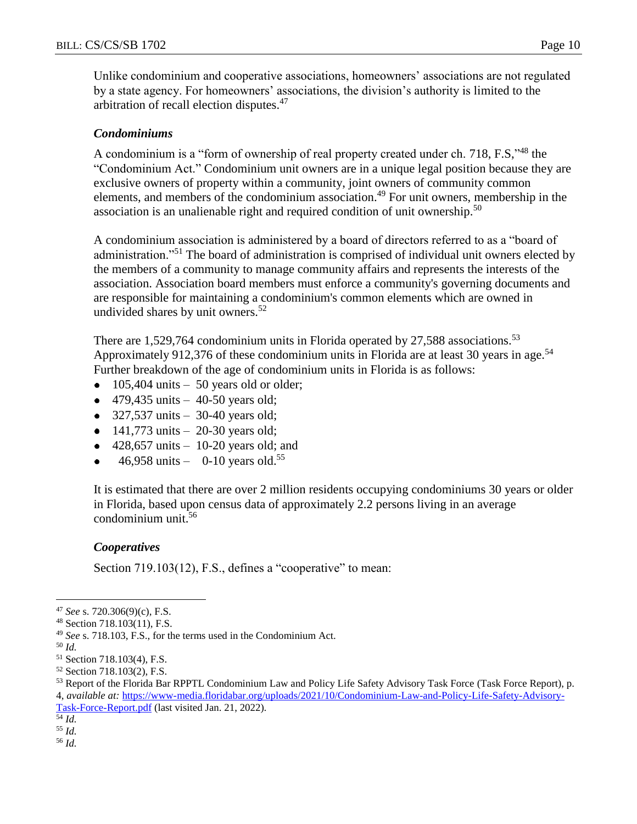Unlike condominium and cooperative associations, homeowners' associations are not regulated by a state agency. For homeowners' associations, the division's authority is limited to the arbitration of recall election disputes.<sup>47</sup>

#### *Condominiums*

A condominium is a "form of ownership of real property created under ch. 718, F.S,"<sup>48</sup> the "Condominium Act." Condominium unit owners are in a unique legal position because they are exclusive owners of property within a community, joint owners of community common elements, and members of the condominium association.<sup>49</sup> For unit owners, membership in the association is an unalienable right and required condition of unit ownership.<sup>50</sup>

A condominium association is administered by a board of directors referred to as a "board of administration."<sup>51</sup> The board of administration is comprised of individual unit owners elected by the members of a community to manage community affairs and represents the interests of the association. Association board members must enforce a community's governing documents and are responsible for maintaining a condominium's common elements which are owned in undivided shares by unit owners.<sup>52</sup>

There are 1,529,764 condominium units in Florida operated by 27,588 associations.<sup>53</sup> Approximately 912,376 of these condominium units in Florida are at least 30 years in age.<sup>54</sup> Further breakdown of the age of condominium units in Florida is as follows:

- 105,404 units 50 years old or older;  $\bullet$
- 479,435 units  $-40-50$  years old;
- $\bullet$  327,537 units 30-40 years old;
- $141,773 \text{ units} 20-30 \text{ years old};$
- 428,657 units 10-20 years old; and  $\bullet$
- 46,958 units 0-10 years old. 55

It is estimated that there are over 2 million residents occupying condominiums 30 years or older in Florida, based upon census data of approximately 2.2 persons living in an average condominium unit.<sup>56</sup>

#### *Cooperatives*

Section 719.103(12), F.S., defines a "cooperative" to mean:

 $\overline{a}$ 

 $\overline{54}$  *Id.* 

<sup>55</sup> *Id.* 

<sup>56</sup> *Id.* 

<sup>47</sup> *See* s. 720.306(9)(c), F.S.

<sup>48</sup> Section 718.103(11), F.S.

<sup>49</sup> *See* s. 718.103, F.S., for the terms used in the Condominium Act.

<sup>50</sup> *Id.*

<sup>51</sup> Section 718.103(4), F.S.

<sup>52</sup> Section 718.103(2), F.S.

<sup>53</sup> Report of the Florida Bar RPPTL Condominium Law and Policy Life Safety Advisory Task Force (Task Force Report), p. 4, *available at:* [https://www-media.floridabar.org/uploads/2021/10/Condominium-Law-and-Policy-Life-Safety-Advisory-](https://www-media.floridabar.org/uploads/2021/10/Condominium-Law-and-Policy-Life-Safety-Advisory-Task-Force-Report.pdf)

[Task-Force-Report.pdf](https://www-media.floridabar.org/uploads/2021/10/Condominium-Law-and-Policy-Life-Safety-Advisory-Task-Force-Report.pdf) (last visited Jan. 21, 2022)*.*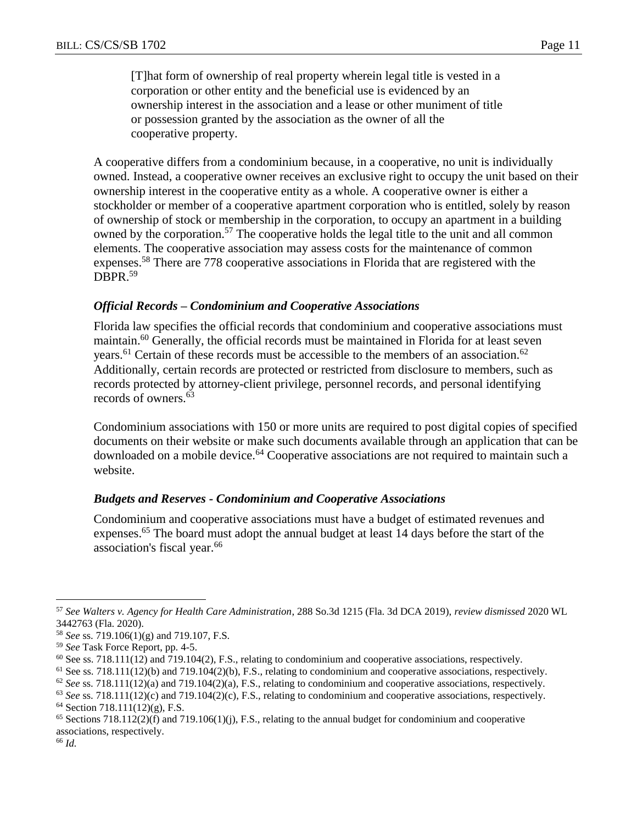[T]hat form of ownership of real property wherein legal title is vested in a corporation or other entity and the beneficial use is evidenced by an ownership interest in the association and a lease or other muniment of title or possession granted by the association as the owner of all the cooperative property.

A cooperative differs from a condominium because, in a cooperative, no unit is individually owned. Instead, a cooperative owner receives an exclusive right to occupy the unit based on their ownership interest in the cooperative entity as a whole. A cooperative owner is either a stockholder or member of a cooperative apartment corporation who is entitled, solely by reason of ownership of stock or membership in the corporation, to occupy an apartment in a building owned by the corporation.<sup>57</sup> The cooperative holds the legal title to the unit and all common elements. The cooperative association may assess costs for the maintenance of common expenses.<sup>58</sup> There are 778 cooperative associations in Florida that are registered with the DBPR.<sup>59</sup>

#### *Official Records – Condominium and Cooperative Associations*

Florida law specifies the official records that condominium and cooperative associations must maintain.<sup>60</sup> Generally, the official records must be maintained in Florida for at least seven years.<sup>61</sup> Certain of these records must be accessible to the members of an association.<sup>62</sup> Additionally, certain records are protected or restricted from disclosure to members, such as records protected by attorney-client privilege, personnel records, and personal identifying records of owners.<sup>63</sup>

Condominium associations with 150 or more units are required to post digital copies of specified documents on their website or make such documents available through an application that can be downloaded on a mobile device.<sup>64</sup> Cooperative associations are not required to maintain such a website.

#### *Budgets and Reserves - Condominium and Cooperative Associations*

Condominium and cooperative associations must have a budget of estimated revenues and expenses.<sup>65</sup> The board must adopt the annual budget at least 14 days before the start of the association's fiscal year.<sup>66</sup>

<sup>66</sup> *Id.*

<sup>57</sup> *See Walters v. Agency for Health Care Administration*, 288 So.3d 1215 (Fla. 3d DCA 2019), *review dismissed* 2020 WL 3442763 (Fla. 2020).

<sup>58</sup> *See* ss. 719.106(1)(g) and 719.107, F.S.

<sup>59</sup> *See* Task Force Report, pp. 4-5.

 $60$  See ss. 718.111(12) and 719.104(2), F.S., relating to condominium and cooperative associations, respectively.

<sup>61</sup> See ss. 718.111(12)(b) and 719.104(2)(b), F.S., relating to condominium and cooperative associations, respectively.

<sup>62</sup> *See* ss. 718.111(12)(a) and 719.104(2)(a), F.S., relating to condominium and cooperative associations, respectively.

<sup>63</sup> *See* ss. 718.111(12)(c) and 719.104(2)(c), F.S., relating to condominium and cooperative associations, respectively.

 $64$  Section 718.111(12)(g), F.S.

 $65$  Sections 718.112(2)(f) and 719.106(1)(j), F.S., relating to the annual budget for condominium and cooperative associations, respectively.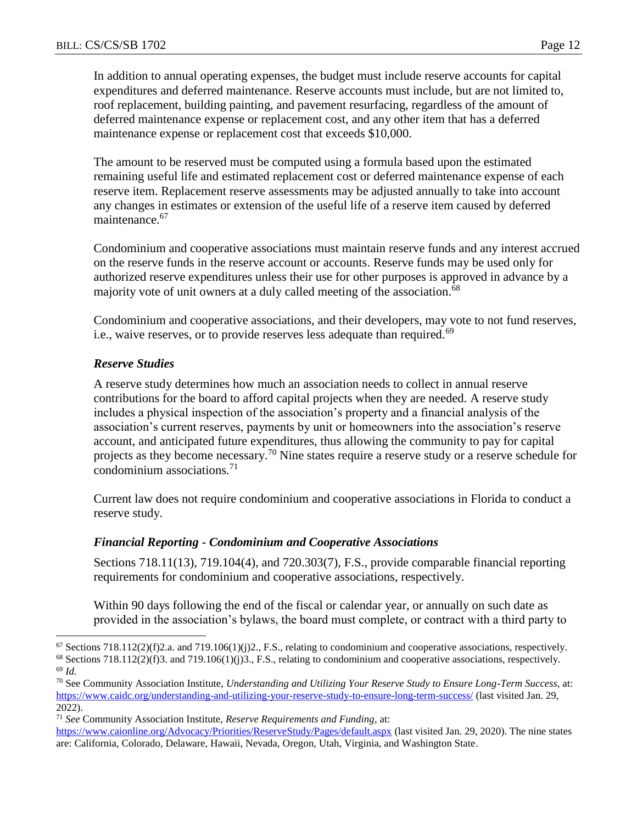In addition to annual operating expenses, the budget must include reserve accounts for capital expenditures and deferred maintenance. Reserve accounts must include, but are not limited to, roof replacement, building painting, and pavement resurfacing, regardless of the amount of deferred maintenance expense or replacement cost, and any other item that has a deferred maintenance expense or replacement cost that exceeds \$10,000.

The amount to be reserved must be computed using a formula based upon the estimated remaining useful life and estimated replacement cost or deferred maintenance expense of each reserve item. Replacement reserve assessments may be adjusted annually to take into account any changes in estimates or extension of the useful life of a reserve item caused by deferred maintenance.<sup>67</sup>

Condominium and cooperative associations must maintain reserve funds and any interest accrued on the reserve funds in the reserve account or accounts. Reserve funds may be used only for authorized reserve expenditures unless their use for other purposes is approved in advance by a majority vote of unit owners at a duly called meeting of the association.<sup>68</sup>

Condominium and cooperative associations, and their developers, may vote to not fund reserves, i.e., waive reserves, or to provide reserves less adequate than required.<sup>69</sup>

#### *Reserve Studies*

A reserve study determines how much an association needs to collect in annual reserve contributions for the board to afford capital projects when they are needed. A reserve study includes a physical inspection of the association's property and a financial analysis of the association's current reserves, payments by unit or homeowners into the association's reserve account, and anticipated future expenditures, thus allowing the community to pay for capital projects as they become necessary.<sup>70</sup> Nine states require a reserve study or a reserve schedule for condominium associations. $71$ 

Current law does not require condominium and cooperative associations in Florida to conduct a reserve study.

#### *Financial Reporting - Condominium and Cooperative Associations*

Sections 718.11(13), 719.104(4), and 720.303(7), F.S., provide comparable financial reporting requirements for condominium and cooperative associations, respectively.

Within 90 days following the end of the fiscal or calendar year, or annually on such date as provided in the association's bylaws, the board must complete, or contract with a third party to

 $\overline{a}$  $67$  Sections 718.112(2)(f)2.a. and 719.106(1)(j)2., F.S., relating to condominium and cooperative associations, respectively.

 $68$  Sections 718.112(2)(f)3. and 719.106(1)(j)3., F.S., relating to condominium and cooperative associations, respectively. <sup>69</sup> *Id.*

<sup>70</sup> See Community Association Institute, *Understanding and Utilizing Your Reserve Study to Ensure Long-Term Success*, at: <https://www.caidc.org/understanding-and-utilizing-your-reserve-study-to-ensure-long-term-success/> (last visited Jan. 29, 2022).

<sup>71</sup> *See* Community Association Institute, *Reserve Requirements and Funding*, at:

<https://www.caionline.org/Advocacy/Priorities/ReserveStudy/Pages/default.aspx> (last visited Jan. 29, 2020). The nine states are: California, Colorado, Delaware, Hawaii, Nevada, Oregon, Utah, Virginia, and Washington State.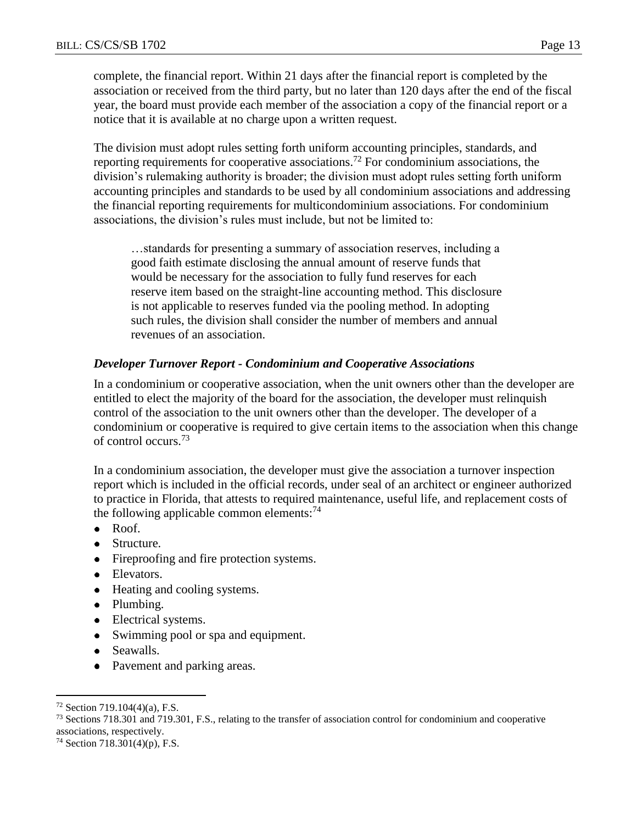complete, the financial report. Within 21 days after the financial report is completed by the association or received from the third party, but no later than 120 days after the end of the fiscal year, the board must provide each member of the association a copy of the financial report or a notice that it is available at no charge upon a written request.

The division must adopt rules setting forth uniform accounting principles, standards, and reporting requirements for cooperative associations.<sup>72</sup> For condominium associations, the division's rulemaking authority is broader; the division must adopt rules setting forth uniform accounting principles and standards to be used by all condominium associations and addressing the financial reporting requirements for multicondominium associations. For condominium associations, the division's rules must include, but not be limited to:

…standards for presenting a summary of association reserves, including a good faith estimate disclosing the annual amount of reserve funds that would be necessary for the association to fully fund reserves for each reserve item based on the straight-line accounting method. This disclosure is not applicable to reserves funded via the pooling method. In adopting such rules, the division shall consider the number of members and annual revenues of an association.

#### *Developer Turnover Report - Condominium and Cooperative Associations*

In a condominium or cooperative association, when the unit owners other than the developer are entitled to elect the majority of the board for the association, the developer must relinquish control of the association to the unit owners other than the developer. The developer of a condominium or cooperative is required to give certain items to the association when this change of control occurs.<sup>73</sup>

In a condominium association, the developer must give the association a turnover inspection report which is included in the official records, under seal of an architect or engineer authorized to practice in Florida, that attests to required maintenance, useful life, and replacement costs of the following applicable common elements: $^{74}$ 

- Roof.  $\bullet$
- Structure.
- Fireproofing and fire protection systems.
- Elevators.
- Heating and cooling systems.
- Plumbing.
- Electrical systems.
- Swimming pool or spa and equipment.
- $\bullet$ Seawalls.
- Pavement and parking areas.

 $72$  Section 719.104(4)(a), F.S.

<sup>73</sup> Sections 718.301 and 719.301, F.S., relating to the transfer of association control for condominium and cooperative associations, respectively.

 $74$  Section 718.301(4)(p), F.S.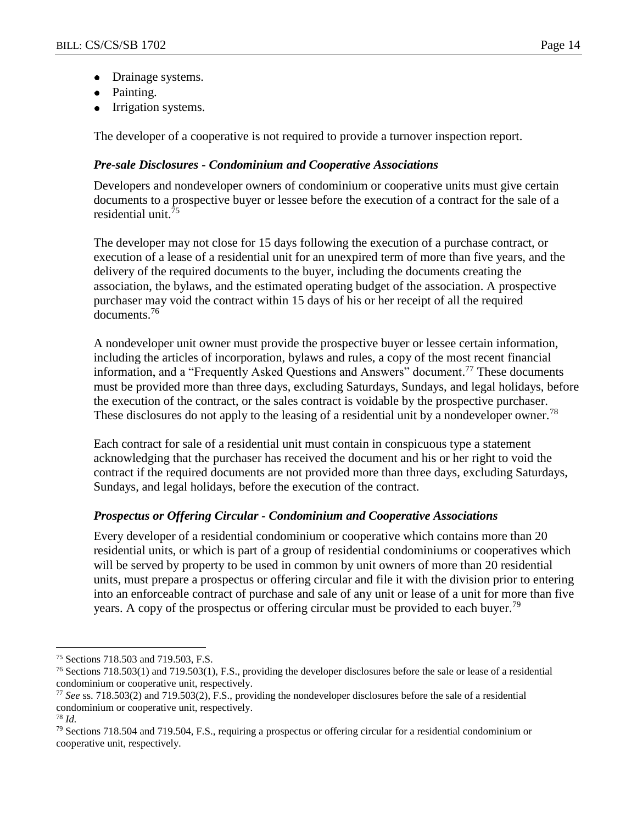- Drainage systems.  $\bullet$
- Painting.
- Irrigation systems.

The developer of a cooperative is not required to provide a turnover inspection report.

#### *Pre-sale Disclosures - Condominium and Cooperative Associations*

Developers and nondeveloper owners of condominium or cooperative units must give certain documents to a prospective buyer or lessee before the execution of a contract for the sale of a residential unit.<sup>75</sup>

The developer may not close for 15 days following the execution of a purchase contract, or execution of a lease of a residential unit for an unexpired term of more than five years, and the delivery of the required documents to the buyer, including the documents creating the association, the bylaws, and the estimated operating budget of the association. A prospective purchaser may void the contract within 15 days of his or her receipt of all the required documents.<sup>76</sup>

A nondeveloper unit owner must provide the prospective buyer or lessee certain information, including the articles of incorporation, bylaws and rules, a copy of the most recent financial information, and a "Frequently Asked Questions and Answers" document.<sup>77</sup> These documents must be provided more than three days, excluding Saturdays, Sundays, and legal holidays, before the execution of the contract, or the sales contract is voidable by the prospective purchaser. These disclosures do not apply to the leasing of a residential unit by a nondeveloper owner.<sup>78</sup>

Each contract for sale of a residential unit must contain in conspicuous type a statement acknowledging that the purchaser has received the document and his or her right to void the contract if the required documents are not provided more than three days, excluding Saturdays, Sundays, and legal holidays, before the execution of the contract.

#### *Prospectus or Offering Circular - Condominium and Cooperative Associations*

Every developer of a residential condominium or cooperative which contains more than 20 residential units, or which is part of a group of residential condominiums or cooperatives which will be served by property to be used in common by unit owners of more than 20 residential units, must prepare a prospectus or offering circular and file it with the division prior to entering into an enforceable contract of purchase and sale of any unit or lease of a unit for more than five years. A copy of the prospectus or offering circular must be provided to each buyer.<sup>79</sup>

<sup>75</sup> Sections 718.503 and 719.503, F.S.

<sup>76</sup> Sections 718.503(1) and 719.503(1), F.S., providing the developer disclosures before the sale or lease of a residential condominium or cooperative unit, respectively.

<sup>77</sup> *See* ss. 718.503(2) and 719.503(2), F.S., providing the nondeveloper disclosures before the sale of a residential condominium or cooperative unit, respectively.

<sup>78</sup> *Id.*

<sup>79</sup> Sections 718.504 and 719.504, F.S., requiring a prospectus or offering circular for a residential condominium or cooperative unit, respectively.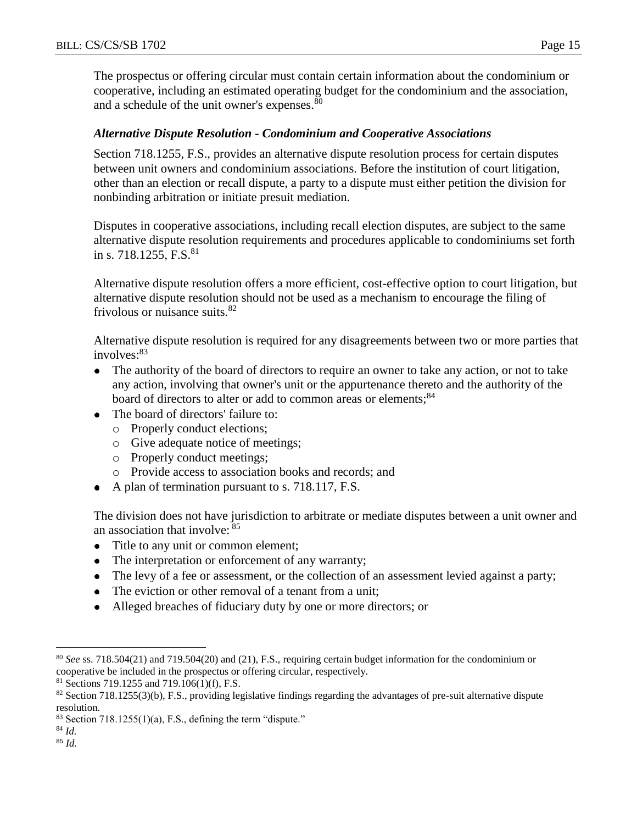The prospectus or offering circular must contain certain information about the condominium or cooperative, including an estimated operating budget for the condominium and the association, and a schedule of the unit owner's expenses.<sup>80</sup>

#### *Alternative Dispute Resolution - Condominium and Cooperative Associations*

Section 718.1255, F.S., provides an alternative dispute resolution process for certain disputes between unit owners and condominium associations. Before the institution of court litigation, other than an election or recall dispute, a party to a dispute must either petition the division for nonbinding arbitration or initiate presuit mediation.

Disputes in cooperative associations, including recall election disputes, are subject to the same alternative dispute resolution requirements and procedures applicable to condominiums set forth in s. 718.1255, F.S. $81$ 

Alternative dispute resolution offers a more efficient, cost-effective option to court litigation, but alternative dispute resolution should not be used as a mechanism to encourage the filing of frivolous or nuisance suits.<sup>82</sup>

Alternative dispute resolution is required for any disagreements between two or more parties that involves: $83$ 

- The authority of the board of directors to require an owner to take any action, or not to take  $\bullet$ any action, involving that owner's unit or the appurtenance thereto and the authority of the board of directors to alter or add to common areas or elements;<sup>84</sup>
- The board of directors' failure to:
	- o Properly conduct elections;
	- o Give adequate notice of meetings;
	- o Properly conduct meetings;
	- o Provide access to association books and records; and
- A plan of termination pursuant to s. 718.117, F.S.

The division does not have jurisdiction to arbitrate or mediate disputes between a unit owner and an association that involve: <sup>85</sup>

- $\bullet$ Title to any unit or common element;
- The interpretation or enforcement of any warranty;  $\bullet$
- The levy of a fee or assessment, or the collection of an assessment levied against a party;
- The eviction or other removal of a tenant from a unit;  $\bullet$
- Alleged breaches of fiduciary duty by one or more directors; or  $\bullet$

<sup>80</sup> *See* ss. 718.504(21) and 719.504(20) and (21), F.S., requiring certain budget information for the condominium or cooperative be included in the prospectus or offering circular, respectively.

<sup>&</sup>lt;sup>81</sup> Sections 719.1255 and 719.106(1)(f), F.S.

 $82$  Section 718.1255(3)(b), F.S., providing legislative findings regarding the advantages of pre-suit alternative dispute resolution.

 $83$  Section 718.1255(1)(a), F.S., defining the term "dispute."

<sup>84</sup> *Id.* <sup>85</sup> *Id.*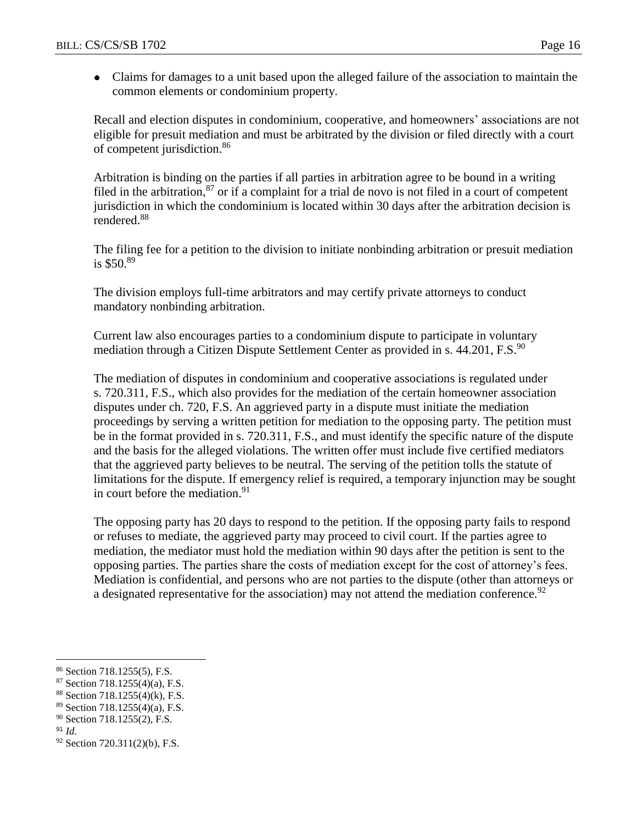Claims for damages to a unit based upon the alleged failure of the association to maintain the common elements or condominium property.

Recall and election disputes in condominium, cooperative, and homeowners' associations are not eligible for presuit mediation and must be arbitrated by the division or filed directly with a court of competent jurisdiction.<sup>86</sup>

Arbitration is binding on the parties if all parties in arbitration agree to be bound in a writing filed in the arbitration,<sup>87</sup> or if a complaint for a trial de novo is not filed in a court of competent jurisdiction in which the condominium is located within 30 days after the arbitration decision is rendered.<sup>88</sup>

The filing fee for a petition to the division to initiate nonbinding arbitration or presuit mediation is  $$50.89$ 

The division employs full-time arbitrators and may certify private attorneys to conduct mandatory nonbinding arbitration.

Current law also encourages parties to a condominium dispute to participate in voluntary mediation through a Citizen Dispute Settlement Center as provided in s.  $44.201$ , F.S.<sup>90</sup>

The mediation of disputes in condominium and cooperative associations is regulated under s. 720.311, F.S., which also provides for the mediation of the certain homeowner association disputes under ch. 720, F.S. An aggrieved party in a dispute must initiate the mediation proceedings by serving a written petition for mediation to the opposing party. The petition must be in the format provided in s. 720.311, F.S., and must identify the specific nature of the dispute and the basis for the alleged violations. The written offer must include five certified mediators that the aggrieved party believes to be neutral. The serving of the petition tolls the statute of limitations for the dispute. If emergency relief is required, a temporary injunction may be sought in court before the mediation.<sup>91</sup>

The opposing party has 20 days to respond to the petition. If the opposing party fails to respond or refuses to mediate, the aggrieved party may proceed to civil court. If the parties agree to mediation, the mediator must hold the mediation within 90 days after the petition is sent to the opposing parties. The parties share the costs of mediation except for the cost of attorney's fees. Mediation is confidential, and persons who are not parties to the dispute (other than attorneys or a designated representative for the association) may not attend the mediation conference.<sup>92</sup>

- <sup>88</sup> Section 718.1255(4)(k), F.S.
- <sup>89</sup> Section 718.1255(4)(a), F.S.

<sup>91</sup> *Id.*

 $\overline{a}$ <sup>86</sup> Section 718.1255(5), F.S.

 $87$  Section 718.1255(4)(a), F.S.

<sup>90</sup> Section 718.1255(2), F.S.

<sup>92</sup> Section 720.311(2)(b), F.S.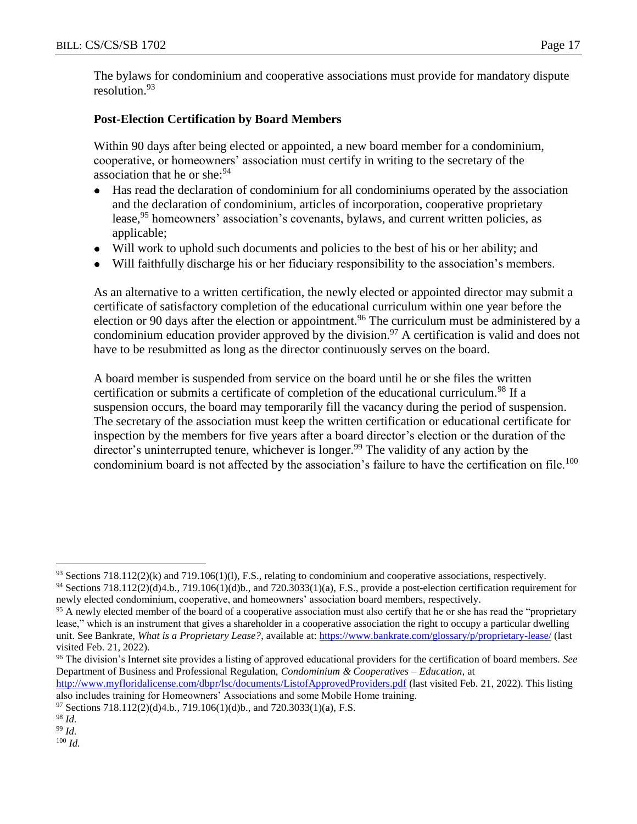The bylaws for condominium and cooperative associations must provide for mandatory dispute resolution.<sup>93</sup>

## **Post-Election Certification by Board Members**

Within 90 days after being elected or appointed, a new board member for a condominium, cooperative, or homeowners' association must certify in writing to the secretary of the association that he or she: $94$ 

- Has read the declaration of condominium for all condominiums operated by the association  $\bullet$ and the declaration of condominium, articles of incorporation, cooperative proprietary lease,<sup>95</sup> homeowners' association's covenants, bylaws, and current written policies, as applicable;
- Will work to uphold such documents and policies to the best of his or her ability; and
- Will faithfully discharge his or her fiduciary responsibility to the association's members.

As an alternative to a written certification, the newly elected or appointed director may submit a certificate of satisfactory completion of the educational curriculum within one year before the election or 90 days after the election or appointment.<sup>96</sup> The curriculum must be administered by a condominium education provider approved by the division.<sup>97</sup> A certification is valid and does not have to be resubmitted as long as the director continuously serves on the board.

A board member is suspended from service on the board until he or she files the written certification or submits a certificate of completion of the educational curriculum.<sup>98</sup> If a suspension occurs, the board may temporarily fill the vacancy during the period of suspension. The secretary of the association must keep the written certification or educational certificate for inspection by the members for five years after a board director's election or the duration of the director's uninterrupted tenure, whichever is longer.<sup>99</sup> The validity of any action by the condominium board is not affected by the association's failure to have the certification on file.<sup>100</sup>

<sup>96</sup> The division's Internet site provides a listing of approved educational providers for the certification of board members. *See* Department of Business and Professional Regulation, *Condominium & Cooperatives – Education,* at

 $\overline{a}$ 

<sup>100</sup> *Id.*

 $93$  Sections 718.112(2)(k) and 719.106(1)(l), F.S., relating to condominium and cooperative associations, respectively.

 $94$  Sections 718.112(2)(d)4.b., 719.106(1)(d)b., and 720.3033(1)(a), F.S., provide a post-election certification requirement for newly elected condominium, cooperative, and homeowners' association board members, respectively.

<sup>&</sup>lt;sup>95</sup> A newly elected member of the board of a cooperative association must also certify that he or she has read the "proprietary" lease," which is an instrument that gives a shareholder in a cooperative association the right to occupy a particular dwelling unit. See Bankrate, *What is a Proprietary Lease?*, available at:<https://www.bankrate.com/glossary/p/proprietary-lease/> (last visited Feb. 21, 2022).

<http://www.myfloridalicense.com/dbpr/lsc/documents/ListofApprovedProviders.pdf> (last visited Feb. 21, 2022). This listing also includes training for Homeowners' Associations and some Mobile Home training.

 $^{97}$  Sections 718.112(2)(d)4.b., 719.106(1)(d)b., and 720.3033(1)(a), F.S.

<sup>98</sup> *Id.*

<sup>99</sup> *Id.*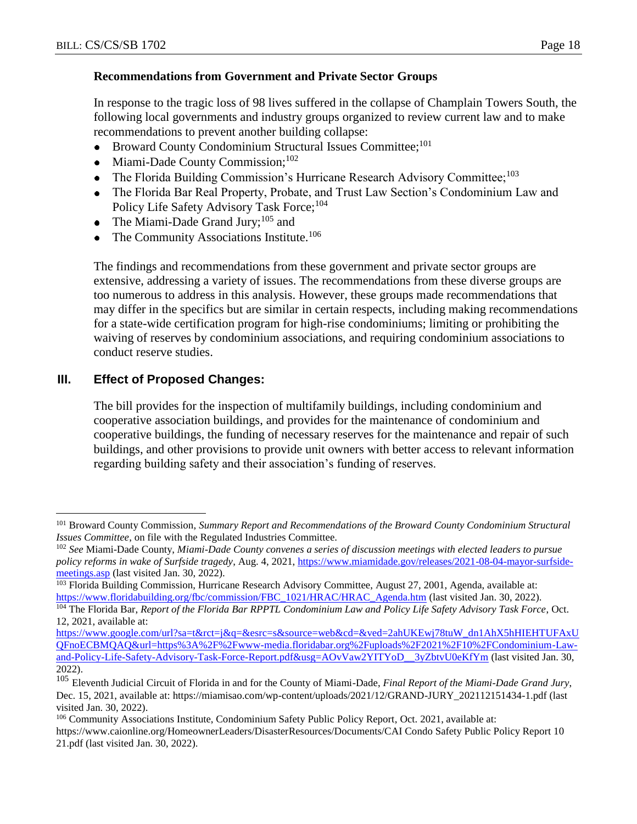## **Recommendations from Government and Private Sector Groups**

In response to the tragic loss of 98 lives suffered in the collapse of Champlain Towers South, the following local governments and industry groups organized to review current law and to make recommendations to prevent another building collapse:

- Broward County Condominium Structural Issues Committee;<sup>101</sup>  $\bullet$
- Miami-Dade County Commission;<sup>102</sup>  $\bullet$
- The Florida Building Commission's Hurricane Research Advisory Committee;<sup>103</sup>  $\bullet$
- The Florida Bar Real Property, Probate, and Trust Law Section's Condominium Law and Policy Life Safety Advisory Task Force;<sup>104</sup>
- The Miami-Dade Grand Jury;<sup>105</sup> and  $\bullet$
- The Community Associations Institute.<sup>106</sup>  $\bullet$

The findings and recommendations from these government and private sector groups are extensive, addressing a variety of issues. The recommendations from these diverse groups are too numerous to address in this analysis. However, these groups made recommendations that may differ in the specifics but are similar in certain respects, including making recommendations for a state-wide certification program for high-rise condominiums; limiting or prohibiting the waiving of reserves by condominium associations, and requiring condominium associations to conduct reserve studies.

## **III. Effect of Proposed Changes:**

 $\overline{a}$ 

The bill provides for the inspection of multifamily buildings, including condominium and cooperative association buildings, and provides for the maintenance of condominium and cooperative buildings, the funding of necessary reserves for the maintenance and repair of such buildings, and other provisions to provide unit owners with better access to relevant information regarding building safety and their association's funding of reserves.

<sup>101</sup> Broward County Commission, *Summary Report and Recommendations of the Broward County Condominium Structural Issues Committee*, on file with the Regulated Industries Committee.

<sup>102</sup> *See* Miami-Dade County, *Miami-Dade County convenes a series of discussion meetings with elected leaders to pursue policy reforms in wake of Surfside tragedy*, Aug. 4, 2021, [https://www.miamidade.gov/releases/2021-08-04-mayor-surfside](https://www.miamidade.gov/releases/2021-08-04-mayor-surfside-meetings.asp)[meetings.asp](https://www.miamidade.gov/releases/2021-08-04-mayor-surfside-meetings.asp) (last visited Jan. 30, 2022).

<sup>&</sup>lt;sup>103</sup> Florida Building Commission, Hurricane Research Advisory Committee, August 27, 2001, Agenda, available at: [https://www.floridabuilding.org/fbc/commission/FBC\\_1021/HRAC/HRAC\\_Agenda.htm](https://www.floridabuilding.org/fbc/commission/FBC_1021/HRAC/HRAC_Agenda.htm) (last visited Jan. 30, 2022).

<sup>104</sup> The Florida Bar, *Report of the Florida Bar RPPTL Condominium Law and Policy Life Safety Advisory Task Force*, Oct. 12, 2021, available at:

[https://www.google.com/url?sa=t&rct=j&q=&esrc=s&source=web&cd=&ved=2ahUKEwj78tuW\\_dn1AhX5hHIEHTUFAxU](https://www.google.com/url?sa=t&rct=j&q=&esrc=s&source=web&cd=&ved=2ahUKEwj78tuW_dn1AhX5hHIEHTUFAxUQFnoECBMQAQ&url=https%3A%2F%2Fwww-media.floridabar.org%2Fuploads%2F2021%2F10%2FCondominium-Law-and-Policy-Life-Safety-Advisory-Task-Force-Report.pdf&usg=AOvVaw2YITYoD__3yZbtvU0eKfYm) [QFnoECBMQAQ&url=https%3A%2F%2Fwww-media.floridabar.org%2Fuploads%2F2021%2F10%2FCondominium-Law](https://www.google.com/url?sa=t&rct=j&q=&esrc=s&source=web&cd=&ved=2ahUKEwj78tuW_dn1AhX5hHIEHTUFAxUQFnoECBMQAQ&url=https%3A%2F%2Fwww-media.floridabar.org%2Fuploads%2F2021%2F10%2FCondominium-Law-and-Policy-Life-Safety-Advisory-Task-Force-Report.pdf&usg=AOvVaw2YITYoD__3yZbtvU0eKfYm)[and-Policy-Life-Safety-Advisory-Task-Force-Report.pdf&usg=AOvVaw2YITYoD\\_\\_3yZbtvU0eKfYm](https://www.google.com/url?sa=t&rct=j&q=&esrc=s&source=web&cd=&ved=2ahUKEwj78tuW_dn1AhX5hHIEHTUFAxUQFnoECBMQAQ&url=https%3A%2F%2Fwww-media.floridabar.org%2Fuploads%2F2021%2F10%2FCondominium-Law-and-Policy-Life-Safety-Advisory-Task-Force-Report.pdf&usg=AOvVaw2YITYoD__3yZbtvU0eKfYm) (last visited Jan. 30, 2022).

<sup>105</sup> Eleventh Judicial Circuit of Florida in and for the County of Miami-Dade, *Final Report of the Miami-Dade Grand Jury*, Dec. 15, 2021, available at: [https://miamisao.com/wp-content/uploads/2021/12/GRAND-JURY\\_202112151434-1.pdf](https://miamisao.com/wp-content/uploads/2021/12/GRAND-JURY_202112151434-1.pdf) (last visited Jan. 30, 2022).

<sup>106</sup> Community Associations Institute, Condominium Safety Public Policy Report, Oct. 2021, available at: https://www.caionline.org/HomeownerLeaders/DisasterResources/Documents/CAI Condo Safety Public Policy Report 10 21.pdf (last visited Jan. 30, 2022).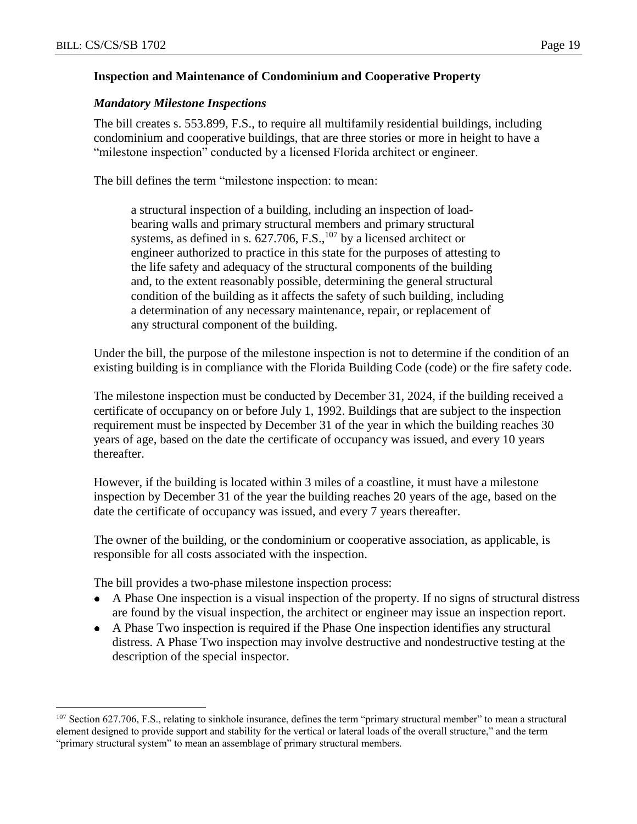$\overline{a}$ 

#### **Inspection and Maintenance of Condominium and Cooperative Property**

#### *Mandatory Milestone Inspections*

The bill creates s. 553.899, F.S., to require all multifamily residential buildings, including condominium and cooperative buildings, that are three stories or more in height to have a "milestone inspection" conducted by a licensed Florida architect or engineer.

The bill defines the term "milestone inspection: to mean:

a structural inspection of a building, including an inspection of loadbearing walls and primary structural members and primary structural systems, as defined in s.  $627.706$ , F.S.,  $^{107}$  by a licensed architect or engineer authorized to practice in this state for the purposes of attesting to the life safety and adequacy of the structural components of the building and, to the extent reasonably possible, determining the general structural condition of the building as it affects the safety of such building, including a determination of any necessary maintenance, repair, or replacement of any structural component of the building.

Under the bill, the purpose of the milestone inspection is not to determine if the condition of an existing building is in compliance with the Florida Building Code (code) or the fire safety code.

The milestone inspection must be conducted by December 31, 2024, if the building received a certificate of occupancy on or before July 1, 1992. Buildings that are subject to the inspection requirement must be inspected by December 31 of the year in which the building reaches 30 years of age, based on the date the certificate of occupancy was issued, and every 10 years thereafter.

However, if the building is located within 3 miles of a coastline, it must have a milestone inspection by December 31 of the year the building reaches 20 years of the age, based on the date the certificate of occupancy was issued, and every 7 years thereafter.

The owner of the building, or the condominium or cooperative association, as applicable, is responsible for all costs associated with the inspection.

The bill provides a two-phase milestone inspection process:

- A Phase One inspection is a visual inspection of the property. If no signs of structural distress are found by the visual inspection, the architect or engineer may issue an inspection report.
- A Phase Two inspection is required if the Phase One inspection identifies any structural  $\bullet$ distress. A Phase Two inspection may involve destructive and nondestructive testing at the description of the special inspector.

<sup>&</sup>lt;sup>107</sup> Section 627.706, F.S., relating to sinkhole insurance, defines the term "primary structural member" to mean a structural element designed to provide support and stability for the vertical or lateral loads of the overall structure," and the term "primary structural system" to mean an assemblage of primary structural members.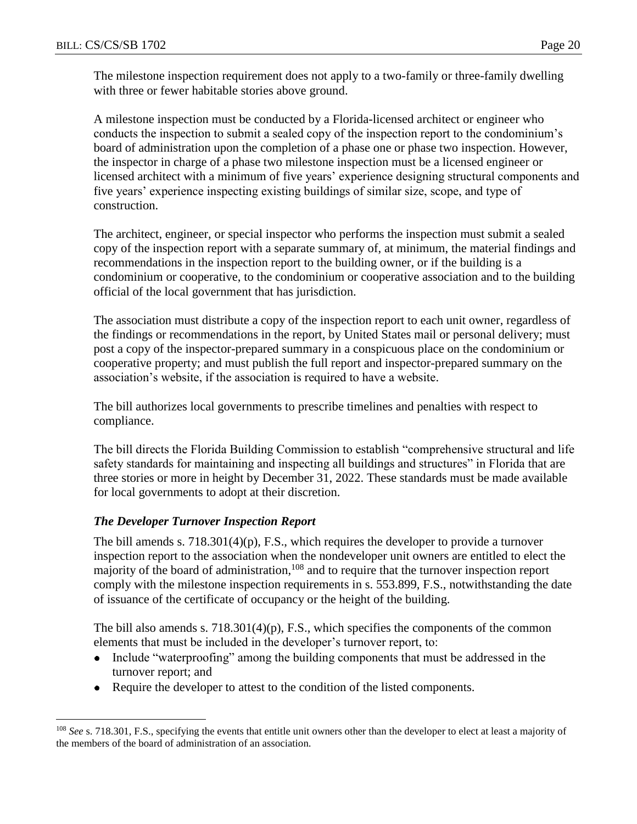The milestone inspection requirement does not apply to a two-family or three-family dwelling with three or fewer habitable stories above ground.

A milestone inspection must be conducted by a Florida-licensed architect or engineer who conducts the inspection to submit a sealed copy of the inspection report to the condominium's board of administration upon the completion of a phase one or phase two inspection. However, the inspector in charge of a phase two milestone inspection must be a licensed engineer or licensed architect with a minimum of five years' experience designing structural components and five years' experience inspecting existing buildings of similar size, scope, and type of construction.

The architect, engineer, or special inspector who performs the inspection must submit a sealed copy of the inspection report with a separate summary of, at minimum, the material findings and recommendations in the inspection report to the building owner, or if the building is a condominium or cooperative, to the condominium or cooperative association and to the building official of the local government that has jurisdiction.

The association must distribute a copy of the inspection report to each unit owner, regardless of the findings or recommendations in the report, by United States mail or personal delivery; must post a copy of the inspector-prepared summary in a conspicuous place on the condominium or cooperative property; and must publish the full report and inspector-prepared summary on the association's website, if the association is required to have a website.

The bill authorizes local governments to prescribe timelines and penalties with respect to compliance.

The bill directs the Florida Building Commission to establish "comprehensive structural and life safety standards for maintaining and inspecting all buildings and structures" in Florida that are three stories or more in height by December 31, 2022. These standards must be made available for local governments to adopt at their discretion.

## *The Developer Turnover Inspection Report*

 $\overline{a}$ 

The bill amends s.  $718.301(4)(p)$ , F.S., which requires the developer to provide a turnover inspection report to the association when the nondeveloper unit owners are entitled to elect the majority of the board of administration, <sup>108</sup> and to require that the turnover inspection report comply with the milestone inspection requirements in s. 553.899, F.S., notwithstanding the date of issuance of the certificate of occupancy or the height of the building.

The bill also amends s.  $718.301(4)(p)$ , F.S., which specifies the components of the common elements that must be included in the developer's turnover report, to:

- Include "waterproofing" among the building components that must be addressed in the  $\bullet$ turnover report; and
- Require the developer to attest to the condition of the listed components.  $\bullet$

<sup>&</sup>lt;sup>108</sup> See s. 718.301, F.S., specifying the events that entitle unit owners other than the developer to elect at least a majority of the members of the board of administration of an association.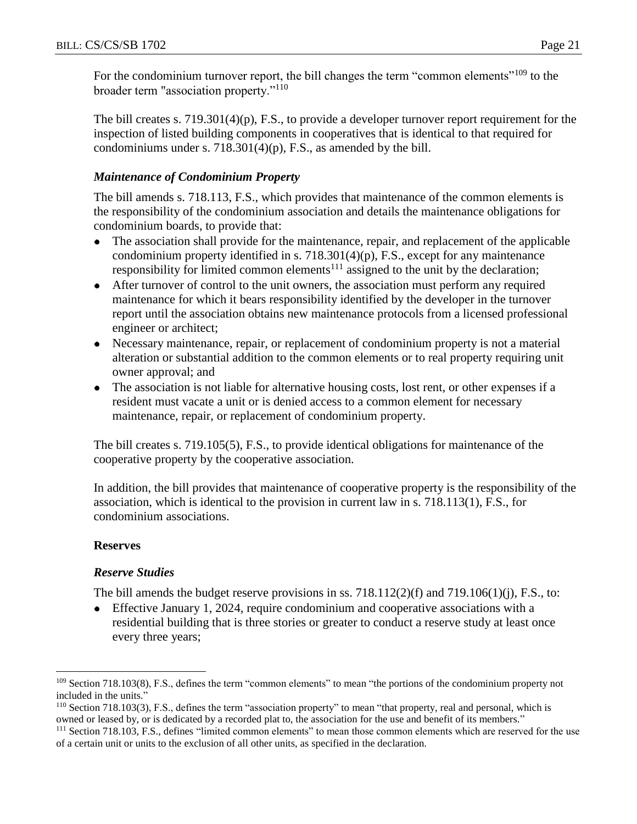For the condominium turnover report, the bill changes the term "common elements"<sup>109</sup> to the broader term "association property."<sup>110</sup>

The bill creates s. 719.301(4)(p), F.S., to provide a developer turnover report requirement for the inspection of listed building components in cooperatives that is identical to that required for condominiums under s.  $718.301(4)(p)$ , F.S., as amended by the bill.

## *Maintenance of Condominium Property*

The bill amends s. 718.113, F.S., which provides that maintenance of the common elements is the responsibility of the condominium association and details the maintenance obligations for condominium boards, to provide that:

- The association shall provide for the maintenance, repair, and replacement of the applicable  $\bullet$ condominium property identified in s. 718.301(4)(p), F.S., except for any maintenance responsibility for limited common elements $111$  assigned to the unit by the declaration;
- After turnover of control to the unit owners, the association must perform any required maintenance for which it bears responsibility identified by the developer in the turnover report until the association obtains new maintenance protocols from a licensed professional engineer or architect;
- Necessary maintenance, repair, or replacement of condominium property is not a material alteration or substantial addition to the common elements or to real property requiring unit owner approval; and
- The association is not liable for alternative housing costs, lost rent, or other expenses if a resident must vacate a unit or is denied access to a common element for necessary maintenance, repair, or replacement of condominium property.

The bill creates s. 719.105(5), F.S., to provide identical obligations for maintenance of the cooperative property by the cooperative association.

In addition, the bill provides that maintenance of cooperative property is the responsibility of the association, which is identical to the provision in current law in s. 718.113(1), F.S., for condominium associations.

## **Reserves**

## *Reserve Studies*

The bill amends the budget reserve provisions in ss.  $718.112(2)(f)$  and  $719.106(1)(j)$ , F.S., to:

 $\bullet$ Effective January 1, 2024, require condominium and cooperative associations with a residential building that is three stories or greater to conduct a reserve study at least once every three years;

 $\overline{a}$ <sup>109</sup> Section 718.103(8), F.S., defines the term "common elements" to mean "the portions of the condominium property not included in the units."

<sup>110</sup> Section 718.103(3), F.S., defines the term "association property" to mean "that property, real and personal, which is owned or leased by, or is dedicated by a recorded plat to, the association for the use and benefit of its members."

<sup>111</sup> Section 718.103, F.S., defines "limited common elements" to mean those common elements which are reserved for the use of a certain unit or units to the exclusion of all other units, as specified in the declaration.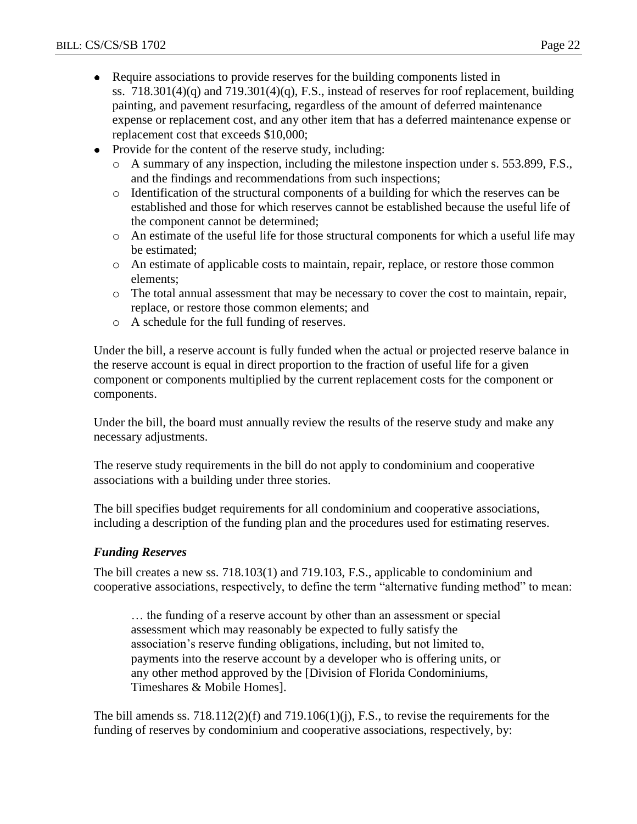- Require associations to provide reserves for the building components listed in  $\bullet$ ss.  $718.301(4)(q)$  and  $719.301(4)(q)$ , F.S., instead of reserves for roof replacement, building painting, and pavement resurfacing, regardless of the amount of deferred maintenance expense or replacement cost, and any other item that has a deferred maintenance expense or replacement cost that exceeds \$10,000;
- Provide for the content of the reserve study, including:
	- o A summary of any inspection, including the milestone inspection under s. 553.899, F.S., and the findings and recommendations from such inspections;
	- o Identification of the structural components of a building for which the reserves can be established and those for which reserves cannot be established because the useful life of the component cannot be determined;
	- o An estimate of the useful life for those structural components for which a useful life may be estimated;
	- o An estimate of applicable costs to maintain, repair, replace, or restore those common elements;
	- o The total annual assessment that may be necessary to cover the cost to maintain, repair, replace, or restore those common elements; and
	- o A schedule for the full funding of reserves.

Under the bill, a reserve account is fully funded when the actual or projected reserve balance in the reserve account is equal in direct proportion to the fraction of useful life for a given component or components multiplied by the current replacement costs for the component or components.

Under the bill, the board must annually review the results of the reserve study and make any necessary adjustments.

The reserve study requirements in the bill do not apply to condominium and cooperative associations with a building under three stories.

The bill specifies budget requirements for all condominium and cooperative associations, including a description of the funding plan and the procedures used for estimating reserves.

## *Funding Reserves*

The bill creates a new ss. 718.103(1) and 719.103, F.S., applicable to condominium and cooperative associations, respectively, to define the term "alternative funding method" to mean:

… the funding of a reserve account by other than an assessment or special assessment which may reasonably be expected to fully satisfy the association's reserve funding obligations, including, but not limited to, payments into the reserve account by a developer who is offering units, or any other method approved by the [Division of Florida Condominiums, Timeshares & Mobile Homes].

The bill amends ss. 718.112(2)(f) and 719.106(1)(j), F.S., to revise the requirements for the funding of reserves by condominium and cooperative associations, respectively, by: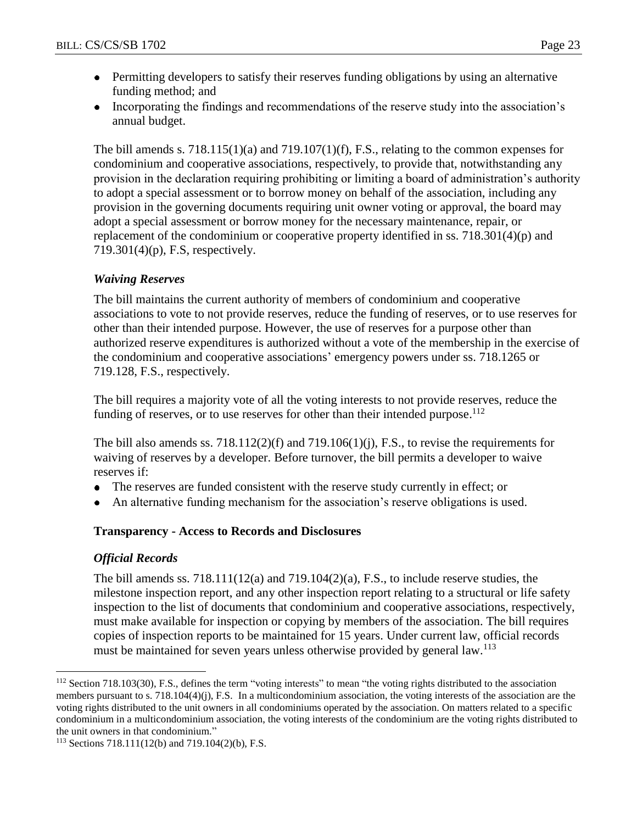- Permitting developers to satisfy their reserves funding obligations by using an alternative funding method; and
- Incorporating the findings and recommendations of the reserve study into the association's annual budget.

The bill amends s. 718.115(1)(a) and 719.107(1)(f), F.S., relating to the common expenses for condominium and cooperative associations, respectively, to provide that, notwithstanding any provision in the declaration requiring prohibiting or limiting a board of administration's authority to adopt a special assessment or to borrow money on behalf of the association, including any provision in the governing documents requiring unit owner voting or approval, the board may adopt a special assessment or borrow money for the necessary maintenance, repair, or replacement of the condominium or cooperative property identified in ss. 718.301(4)(p) and 719.301(4)(p), F.S, respectively.

## *Waiving Reserves*

The bill maintains the current authority of members of condominium and cooperative associations to vote to not provide reserves, reduce the funding of reserves, or to use reserves for other than their intended purpose. However, the use of reserves for a purpose other than authorized reserve expenditures is authorized without a vote of the membership in the exercise of the condominium and cooperative associations' emergency powers under ss. 718.1265 or 719.128, F.S., respectively.

The bill requires a majority vote of all the voting interests to not provide reserves, reduce the funding of reserves, or to use reserves for other than their intended purpose.<sup>112</sup>

The bill also amends ss. 718.112(2)(f) and 719.106(1)(j), F.S., to revise the requirements for waiving of reserves by a developer. Before turnover, the bill permits a developer to waive reserves if:

- The reserves are funded consistent with the reserve study currently in effect; or  $\bullet$
- An alternative funding mechanism for the association's reserve obligations is used.

## **Transparency - Access to Records and Disclosures**

## *Official Records*

 $\overline{a}$ 

The bill amends ss.  $718.111(12(a)$  and  $719.104(2)(a)$ , F.S., to include reserve studies, the milestone inspection report, and any other inspection report relating to a structural or life safety inspection to the list of documents that condominium and cooperative associations, respectively, must make available for inspection or copying by members of the association. The bill requires copies of inspection reports to be maintained for 15 years. Under current law, official records must be maintained for seven years unless otherwise provided by general law.<sup>113</sup>

<sup>112</sup> Section 718.103(30), F.S., defines the term "voting interests" to mean "the voting rights distributed to the association members pursuant to s. 718.104(4)(j), F.S. In a multicondominium association, the voting interests of the association are the voting rights distributed to the unit owners in all condominiums operated by the association. On matters related to a specific condominium in a multicondominium association, the voting interests of the condominium are the voting rights distributed to the unit owners in that condominium."

<sup>113</sup> Sections 718.111(12(b) and 719.104(2)(b), F.S.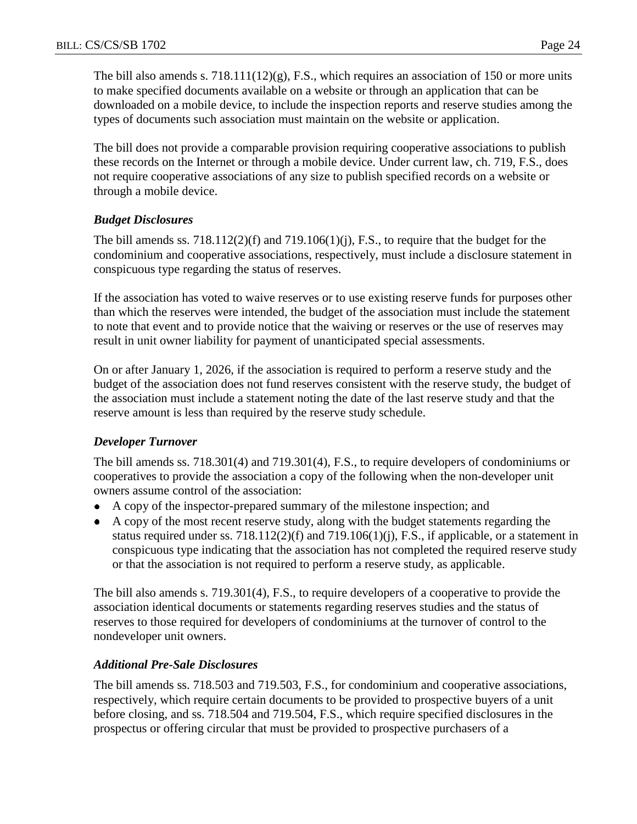The bill also amends s.  $718.11(12)(g)$ , F.S., which requires an association of 150 or more units to make specified documents available on a website or through an application that can be downloaded on a mobile device, to include the inspection reports and reserve studies among the types of documents such association must maintain on the website or application.

The bill does not provide a comparable provision requiring cooperative associations to publish these records on the Internet or through a mobile device. Under current law, ch. 719, F.S., does not require cooperative associations of any size to publish specified records on a website or through a mobile device.

## *Budget Disclosures*

The bill amends ss.  $718.112(2)(f)$  and  $719.106(1)(j)$ , F.S., to require that the budget for the condominium and cooperative associations, respectively, must include a disclosure statement in conspicuous type regarding the status of reserves.

If the association has voted to waive reserves or to use existing reserve funds for purposes other than which the reserves were intended, the budget of the association must include the statement to note that event and to provide notice that the waiving or reserves or the use of reserves may result in unit owner liability for payment of unanticipated special assessments.

On or after January 1, 2026, if the association is required to perform a reserve study and the budget of the association does not fund reserves consistent with the reserve study, the budget of the association must include a statement noting the date of the last reserve study and that the reserve amount is less than required by the reserve study schedule.

## *Developer Turnover*

The bill amends ss. 718.301(4) and 719.301(4), F.S., to require developers of condominiums or cooperatives to provide the association a copy of the following when the non-developer unit owners assume control of the association:

- A copy of the inspector-prepared summary of the milestone inspection; and
- A copy of the most recent reserve study, along with the budget statements regarding the status required under ss.  $718.112(2)(f)$  and  $719.106(1)(j)$ , F.S., if applicable, or a statement in conspicuous type indicating that the association has not completed the required reserve study or that the association is not required to perform a reserve study, as applicable.

The bill also amends s. 719.301(4), F.S., to require developers of a cooperative to provide the association identical documents or statements regarding reserves studies and the status of reserves to those required for developers of condominiums at the turnover of control to the nondeveloper unit owners.

#### *Additional Pre-Sale Disclosures*

The bill amends ss. 718.503 and 719.503, F.S., for condominium and cooperative associations, respectively, which require certain documents to be provided to prospective buyers of a unit before closing, and ss. 718.504 and 719.504, F.S., which require specified disclosures in the prospectus or offering circular that must be provided to prospective purchasers of a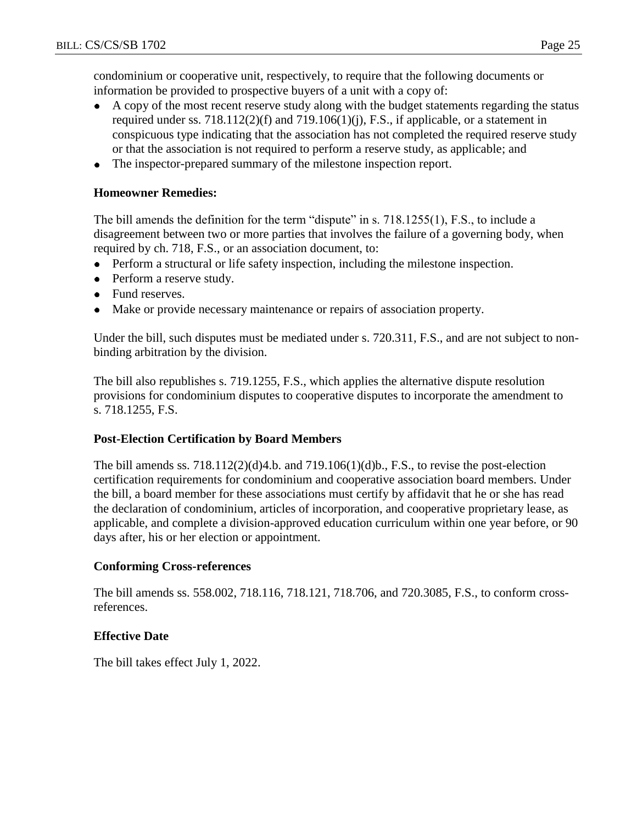condominium or cooperative unit, respectively, to require that the following documents or information be provided to prospective buyers of a unit with a copy of:

- $\bullet$ A copy of the most recent reserve study along with the budget statements regarding the status required under ss. 718.112(2)(f) and 719.106(1)(j), F.S., if applicable, or a statement in conspicuous type indicating that the association has not completed the required reserve study or that the association is not required to perform a reserve study, as applicable; and
- The inspector-prepared summary of the milestone inspection report.

#### **Homeowner Remedies:**

The bill amends the definition for the term "dispute" in s. 718.1255(1), F.S., to include a disagreement between two or more parties that involves the failure of a governing body, when required by ch. 718, F.S., or an association document, to:

- Perform a structural or life safety inspection, including the milestone inspection.
- Perform a reserve study.
- Fund reserves.
- Make or provide necessary maintenance or repairs of association property.

Under the bill, such disputes must be mediated under s. 720.311, F.S., and are not subject to nonbinding arbitration by the division.

The bill also republishes s. 719.1255, F.S., which applies the alternative dispute resolution provisions for condominium disputes to cooperative disputes to incorporate the amendment to s. 718.1255, F.S.

## **Post-Election Certification by Board Members**

The bill amends ss.  $718.112(2)(d)4.b.$  and  $719.106(1)(d)b.$ , F.S., to revise the post-election certification requirements for condominium and cooperative association board members. Under the bill, a board member for these associations must certify by affidavit that he or she has read the declaration of condominium, articles of incorporation, and cooperative proprietary lease, as applicable, and complete a division-approved education curriculum within one year before, or 90 days after, his or her election or appointment.

## **Conforming Cross-references**

The bill amends ss. 558.002, 718.116, 718.121, 718.706, and 720.3085, F.S., to conform crossreferences.

## **Effective Date**

The bill takes effect July 1, 2022.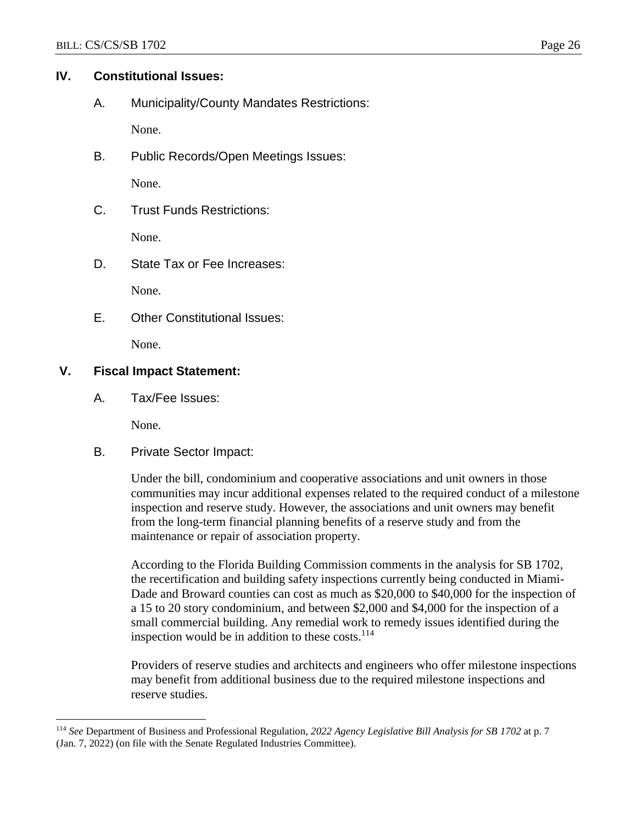# **IV. Constitutional Issues:**

A. Municipality/County Mandates Restrictions:

None.

B. Public Records/Open Meetings Issues:

None.

C. Trust Funds Restrictions:

None.

D. State Tax or Fee Increases:

None.

E. Other Constitutional Issues:

None.

## **V. Fiscal Impact Statement:**

A. Tax/Fee Issues:

None.

 $\overline{a}$ 

B. Private Sector Impact:

Under the bill, condominium and cooperative associations and unit owners in those communities may incur additional expenses related to the required conduct of a milestone inspection and reserve study. However, the associations and unit owners may benefit from the long-term financial planning benefits of a reserve study and from the maintenance or repair of association property.

According to the Florida Building Commission comments in the analysis for SB 1702, the recertification and building safety inspections currently being conducted in Miami-Dade and Broward counties can cost as much as \$20,000 to \$40,000 for the inspection of a 15 to 20 story condominium, and between \$2,000 and \$4,000 for the inspection of a small commercial building. Any remedial work to remedy issues identified during the inspection would be in addition to these costs. $114$ 

Providers of reserve studies and architects and engineers who offer milestone inspections may benefit from additional business due to the required milestone inspections and reserve studies.

<sup>114</sup> *See* Department of Business and Professional Regulation, *2022 Agency Legislative Bill Analysis for SB 1702* at p. 7 (Jan. 7, 2022) (on file with the Senate Regulated Industries Committee).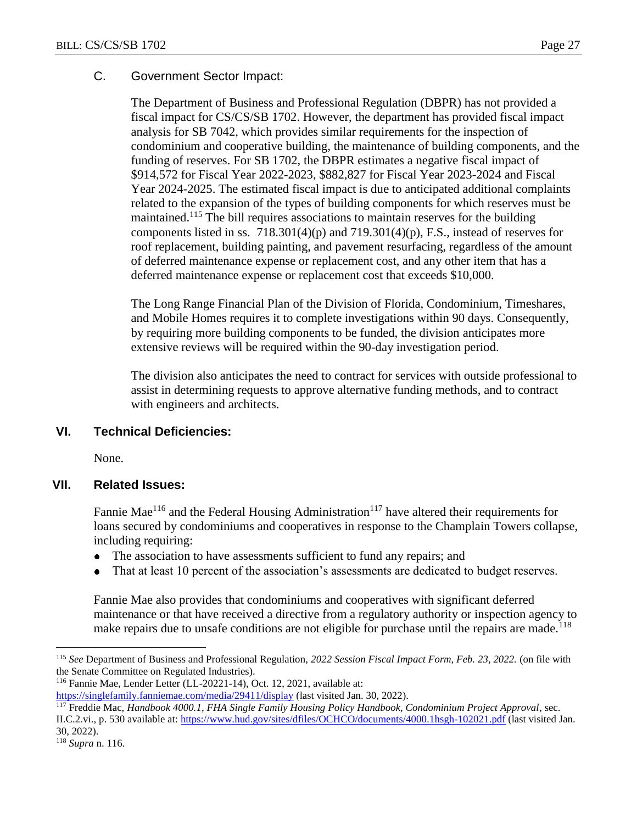## C. Government Sector Impact:

The Department of Business and Professional Regulation (DBPR) has not provided a fiscal impact for CS/CS/SB 1702. However, the department has provided fiscal impact analysis for SB 7042, which provides similar requirements for the inspection of condominium and cooperative building, the maintenance of building components, and the funding of reserves. For SB 1702, the DBPR estimates a negative fiscal impact of \$914,572 for Fiscal Year 2022-2023, \$882,827 for Fiscal Year 2023-2024 and Fiscal Year 2024-2025. The estimated fiscal impact is due to anticipated additional complaints related to the expansion of the types of building components for which reserves must be maintained.<sup>115</sup> The bill requires associations to maintain reserves for the building components listed in ss.  $718.301(4)(p)$  and  $719.301(4)(p)$ , F.S., instead of reserves for roof replacement, building painting, and pavement resurfacing, regardless of the amount of deferred maintenance expense or replacement cost, and any other item that has a deferred maintenance expense or replacement cost that exceeds \$10,000.

The Long Range Financial Plan of the Division of Florida, Condominium, Timeshares, and Mobile Homes requires it to complete investigations within 90 days. Consequently, by requiring more building components to be funded, the division anticipates more extensive reviews will be required within the 90-day investigation period.

The division also anticipates the need to contract for services with outside professional to assist in determining requests to approve alternative funding methods, and to contract with engineers and architects.

## **VI. Technical Deficiencies:**

None.

## **VII. Related Issues:**

Fannie Mae<sup>116</sup> and the Federal Housing Administration<sup>117</sup> have altered their requirements for loans secured by condominiums and cooperatives in response to the Champlain Towers collapse, including requiring:

- The association to have assessments sufficient to fund any repairs; and  $\bullet$
- That at least 10 percent of the association's assessments are dedicated to budget reserves.

Fannie Mae also provides that condominiums and cooperatives with significant deferred maintenance or that have received a directive from a regulatory authority or inspection agency to make repairs due to unsafe conditions are not eligible for purchase until the repairs are made.<sup>118</sup>

<sup>115</sup> *See* Department of Business and Professional Regulation, *2022 Session Fiscal Impact Form, Feb. 23, 2022.* (on file with the Senate Committee on Regulated Industries).

<sup>116</sup> Fannie Mae, Lender Letter (LL-20221-14), Oct. 12, 2021, available at:

<https://singlefamily.fanniemae.com/media/29411/display> (last visited Jan. 30, 2022).

<sup>117</sup> Freddie Mac, *Handbook 4000.1, FHA Single Family Housing Policy Handbook, Condominium Project Approval*, sec. II.C.2.vi., p. 530 available at[: https://www.hud.gov/sites/dfiles/OCHCO/documents/4000.1hsgh-102021.pdf](https://www.hud.gov/sites/dfiles/OCHCO/documents/4000.1hsgh-102021.pdf) (last visited Jan. 30, 2022).

<sup>118</sup> *Supra* n. 116.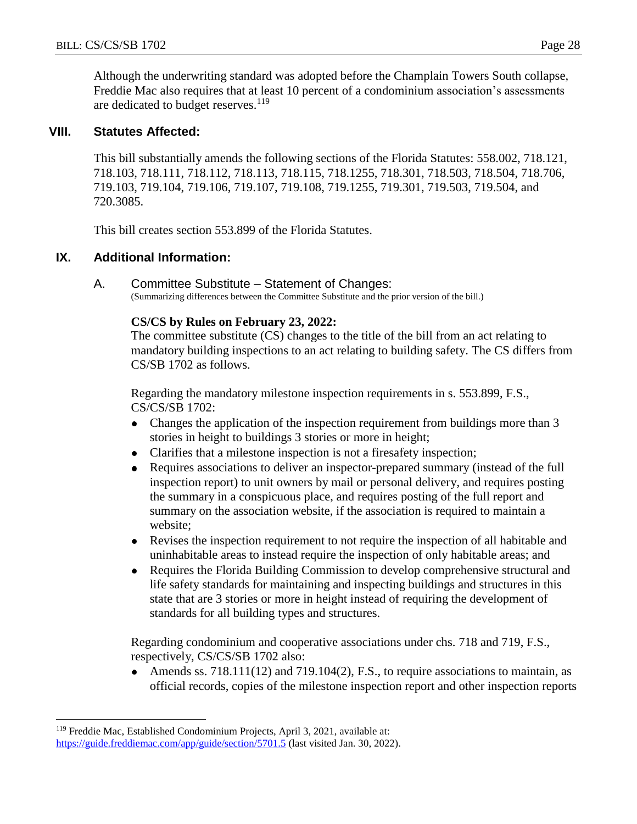Although the underwriting standard was adopted before the Champlain Towers South collapse, Freddie Mac also requires that at least 10 percent of a condominium association's assessments are dedicated to budget reserves.<sup>119</sup>

#### **VIII. Statutes Affected:**

This bill substantially amends the following sections of the Florida Statutes: 558.002, 718.121, 718.103, 718.111, 718.112, 718.113, 718.115, 718.1255, 718.301, 718.503, 718.504, 718.706, 719.103, 719.104, 719.106, 719.107, 719.108, 719.1255, 719.301, 719.503, 719.504, and 720.3085.

This bill creates section 553.899 of the Florida Statutes.

#### **IX. Additional Information:**

A. Committee Substitute – Statement of Changes: (Summarizing differences between the Committee Substitute and the prior version of the bill.)

#### **CS/CS by Rules on February 23, 2022:**

The committee substitute (CS) changes to the title of the bill from an act relating to mandatory building inspections to an act relating to building safety. The CS differs from CS/SB 1702 as follows.

Regarding the mandatory milestone inspection requirements in s. 553.899, F.S., CS/CS/SB 1702:

- Changes the application of the inspection requirement from buildings more than 3  $\bullet$ stories in height to buildings 3 stories or more in height;
- Clarifies that a milestone inspection is not a firesafety inspection;  $\bullet$
- Requires associations to deliver an inspector-prepared summary (instead of the full  $\bullet$ inspection report) to unit owners by mail or personal delivery, and requires posting the summary in a conspicuous place, and requires posting of the full report and summary on the association website, if the association is required to maintain a website;
- Revises the inspection requirement to not require the inspection of all habitable and  $\bullet$ uninhabitable areas to instead require the inspection of only habitable areas; and
- Requires the Florida Building Commission to develop comprehensive structural and  $\bullet$ life safety standards for maintaining and inspecting buildings and structures in this state that are 3 stories or more in height instead of requiring the development of standards for all building types and structures.

Regarding condominium and cooperative associations under chs. 718 and 719, F.S., respectively, CS/CS/SB 1702 also:

 $\bullet$ Amends ss. 718.111(12) and 719.104(2), F.S., to require associations to maintain, as official records, copies of the milestone inspection report and other inspection reports

<sup>119</sup> Freddie Mac, Established Condominium Projects, April 3, 2021, available at: <https://guide.freddiemac.com/app/guide/section/5701.5> (last visited Jan. 30, 2022).